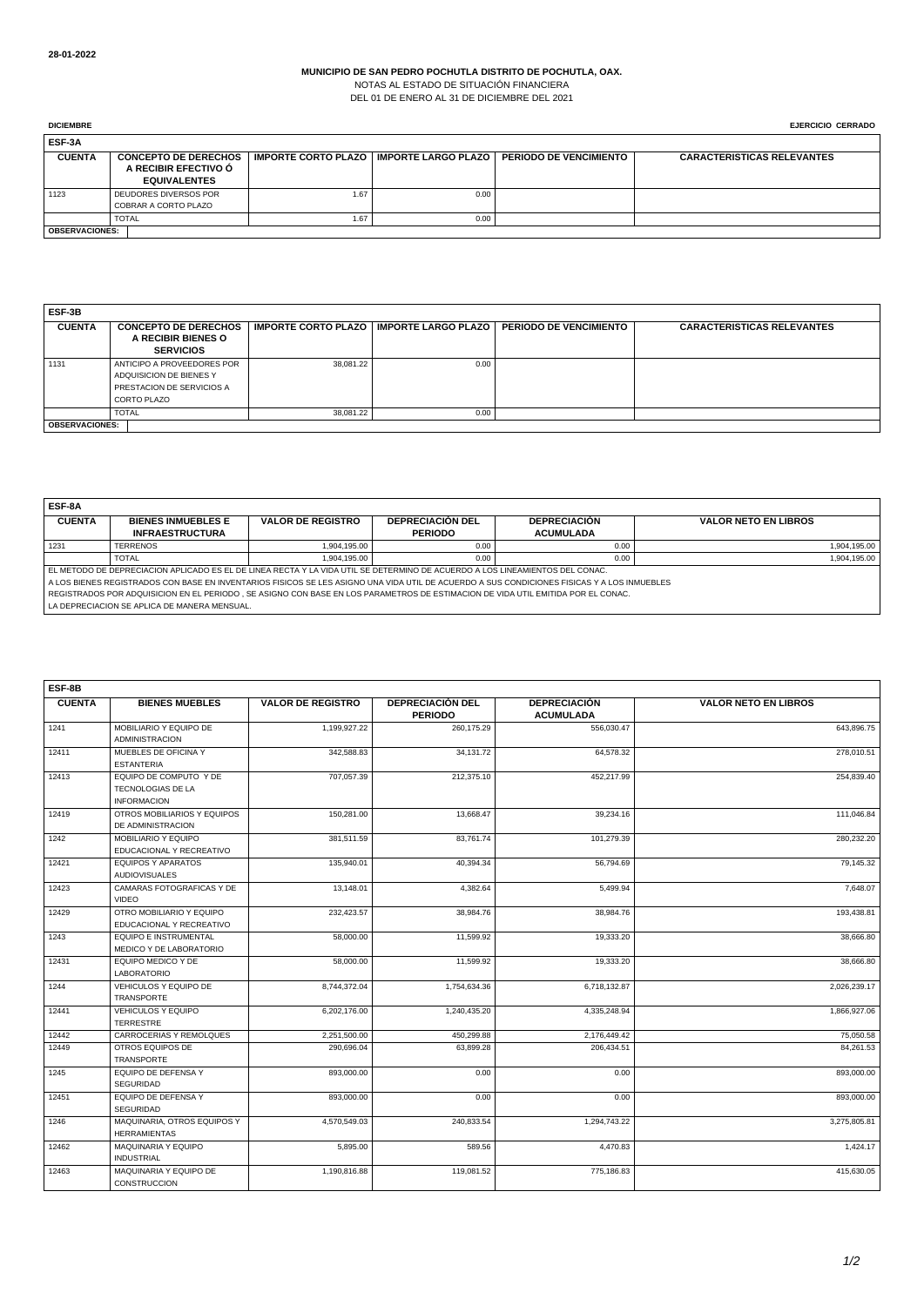NOTAS AL ESTADO DE SITUACIÓN FINANCIERA DEL 01 DE ENERO AL 31 DE DICIEMBRE DEL 2021

| <b>DICIEMBRE</b>      |                                                                            |                                               |      |                               | <b>EJERCICIO CERRADO</b>          |
|-----------------------|----------------------------------------------------------------------------|-----------------------------------------------|------|-------------------------------|-----------------------------------|
| ESF-3A                |                                                                            |                                               |      |                               |                                   |
| <b>CUENTA</b>         | <b>CONCEPTO DE DERECHOS</b><br>A RECIBIR EFECTIVO Ó<br><b>EQUIVALENTES</b> | │ IMPORTE CORTO PLAZO │ IMPORTE LARGO PLAZO │ |      | <b>PERIODO DE VENCIMIENTO</b> | <b>CARACTERISTICAS RELEVANTES</b> |
| 1123                  | DEUDORES DIVERSOS POR<br>COBRAR A CORTO PLAZO                              | 1.67                                          | 0.00 |                               |                                   |
|                       | <b>TOTAL</b>                                                               | 1.67                                          | 0.00 |                               |                                   |
| <b>OBSERVACIONES:</b> |                                                                            |                                               |      |                               |                                   |

| ESF-3B        |                             |           |                                           |                               |                                   |  |  |
|---------------|-----------------------------|-----------|-------------------------------------------|-------------------------------|-----------------------------------|--|--|
| <b>CUENTA</b> | <b>CONCEPTO DE DERECHOS</b> |           | IMPORTE CORTO PLAZO   IMPORTE LARGO PLAZO | <b>PERIODO DE VENCIMIENTO</b> | <b>CARACTERISTICAS RELEVANTES</b> |  |  |
|               | A RECIBIR BIENES O          |           |                                           |                               |                                   |  |  |
|               | <b>SERVICIOS</b>            |           |                                           |                               |                                   |  |  |
| 1131          | ANTICIPO A PROVEEDORES POR  | 38.081.22 | 0.00                                      |                               |                                   |  |  |
|               | ADQUISICION DE BIENES Y     |           |                                           |                               |                                   |  |  |
|               | PRESTACION DE SERVICIOS A   |           |                                           |                               |                                   |  |  |
|               | CORTO PLAZO                 |           |                                           |                               |                                   |  |  |
|               | <b>TOTAL</b>                | 38.081.22 | 0.00                                      |                               |                                   |  |  |
|               | <b>OBSERVACIONES:</b>       |           |                                           |                               |                                   |  |  |

| ESF-8A                                                                                                                                      |                                                                                                                              |                          |                         |                     |                             |  |  |
|---------------------------------------------------------------------------------------------------------------------------------------------|------------------------------------------------------------------------------------------------------------------------------|--------------------------|-------------------------|---------------------|-----------------------------|--|--|
| <b>CUENTA</b>                                                                                                                               | <b>BIENES INMUEBLES E</b>                                                                                                    | <b>VALOR DE REGISTRO</b> | <b>DEPRECIACIÓN DEL</b> | <b>DEPRECIACIÓN</b> | <b>VALOR NETO EN LIBROS</b> |  |  |
|                                                                                                                                             | <b>INFRAESTRUCTURA</b>                                                                                                       |                          | <b>PERIODO</b>          | <b>ACUMULADA</b>    |                             |  |  |
| 1231                                                                                                                                        | <b>TERRENOS</b>                                                                                                              | 1.904.195.00             | 0.00                    | 0.00                | 1,904,195.00                |  |  |
|                                                                                                                                             | <b>TOTAL</b>                                                                                                                 | 1.904.195.00             | 0.00                    | 0.00                | 1,904,195.00                |  |  |
|                                                                                                                                             | EL METODO DE DEPRECIACION APLICADO ES EL DE LINEA RECTA Y LA VIDA UTIL SE DETERMINO DE ACUERDO A LOS LINEAMIENTOS DEL CONAC. |                          |                         |                     |                             |  |  |
| A LOS BIENES REGISTRADOS CON BASE EN INVENTARIOS FISICOS SE LES ASIGNO UNA VIDA UTIL DE ACUERDO A SUS CONDICIONES FISICAS Y A LOS INMUEBLES |                                                                                                                              |                          |                         |                     |                             |  |  |
| REGISTRADOS POR ADQUISICION EN EL PERIODO , SE ASIGNO CON BASE EN LOS PARAMETROS DE ESTIMACION DE VIDA UTIL EMITIDA POR EL CONAC.           |                                                                                                                              |                          |                         |                     |                             |  |  |
| LA DEPRECIACION SE APLICA DE MANERA MENSUAL.                                                                                                |                                                                                                                              |                          |                         |                     |                             |  |  |

| ESF-8B        |                                                                   |                          |                                           |                                         |                             |  |  |  |
|---------------|-------------------------------------------------------------------|--------------------------|-------------------------------------------|-----------------------------------------|-----------------------------|--|--|--|
| <b>CUENTA</b> | <b>BIENES MUEBLES</b>                                             | <b>VALOR DE REGISTRO</b> | <b>DEPRECIACIÓN DEL</b><br><b>PERIODO</b> | <b>DEPRECIACIÓN</b><br><b>ACUMULADA</b> | <b>VALOR NETO EN LIBROS</b> |  |  |  |
| 1241          | MOBILIARIO Y EQUIPO DE<br><b>ADMINISTRACION</b>                   | 1,199,927.22             | 260,175.29                                | 556,030.47                              | 643,896.75                  |  |  |  |
| 12411         | MUEBLES DE OFICINA Y<br><b>ESTANTERIA</b>                         | 342,588.83               | 34,131.72                                 | 64,578.32                               | 278,010.51                  |  |  |  |
| 12413         | EQUIPO DE COMPUTO Y DE<br>TECNOLOGIAS DE LA<br><b>INFORMACION</b> | 707.057.39               | 212.375.10                                | 452.217.99                              | 254,839.40                  |  |  |  |
| 12419         | OTROS MOBILIARIOS Y EQUIPOS<br>DE ADMINISTRACION                  | 150.281.00               | 13.668.47                                 | 39.234.16                               | 111,046.84                  |  |  |  |
| 1242          | MOBILIARIO Y EQUIPO<br>EDUCACIONAL Y RECREATIVO                   | 381,511.59               | 83,761.74                                 | 101,279.39                              | 280,232.20                  |  |  |  |
| 12421         | <b>FOUIPOS Y APARATOS</b><br><b>AUDIOVISUALES</b>                 | 135,940.01               | 40,394.34                                 | 56,794.69                               | 79,145.32                   |  |  |  |
| 12423         | CAMARAS FOTOGRAFICAS Y DE<br><b>VIDEO</b>                         | 13.148.01                | 4.382.64                                  | 5.499.94                                | 7,648.07                    |  |  |  |
| 12429         | OTRO MOBILIARIO Y EQUIPO<br>EDUCACIONAL Y RECREATIVO              | 232.423.57               | 38.984.76                                 | 38.984.76                               | 193,438.81                  |  |  |  |
| 1243          | <b>EQUIPO E INSTRUMENTAL</b><br>MEDICO Y DE LABORATORIO           | 58,000.00                | 11.599.92                                 | 19,333.20                               | 38,666.80                   |  |  |  |
| 12431         | EQUIPO MEDICO Y DE<br><b>LABORATORIO</b>                          | 58,000.00                | 11,599.92                                 | 19,333.20                               | 38,666.80                   |  |  |  |
| 1244          | VEHICULOS Y EQUIPO DE<br>TRANSPORTE                               | 8.744.372.04             | 1.754.634.36                              | 6.718.132.87                            | 2,026,239.17                |  |  |  |
| 12441         | <b>VEHICULOS Y EQUIPO</b><br><b>TERRESTRE</b>                     | 6,202,176.00             | 1,240,435.20                              | 4,335,248.94                            | 1,866,927.06                |  |  |  |
| 12442         | CARROCERIAS Y REMOLQUES                                           | 2,251,500.00             | 450.299.88                                | 2,176,449.42                            | 75,050.58                   |  |  |  |
| 12449         | OTROS EQUIPOS DE<br><b>TRANSPORTE</b>                             | 290.696.04               | 63.899.28                                 | 206,434.51                              | 84,261.53                   |  |  |  |
| 1245          | EQUIPO DE DEFENSA Y<br><b>SEGURIDAD</b>                           | 893,000.00               | 0.00                                      | 0.00                                    | 893,000.00                  |  |  |  |
| 12451         | EQUIPO DE DEFENSA Y<br><b>SEGURIDAD</b>                           | 893.000.00               | 0.00                                      | 0.00                                    | 893,000.00                  |  |  |  |
| 1246          | MAQUINARIA, OTROS EQUIPOS Y<br><b>HERRAMIENTAS</b>                | 4,570,549.03             | 240.833.54                                | 1,294,743.22                            | 3,275,805.81                |  |  |  |
| 12462         | MAQUINARIA Y EQUIPO<br><b>INDUSTRIAL</b>                          | 5,895.00                 | 589.56                                    | 4,470.83                                | 1,424.17                    |  |  |  |
| 12463         | MAQUINARIA Y EQUIPO DE<br>CONSTRUCCION                            | 1,190,816.88             | 119,081.52                                | 775,186.83                              | 415,630.05                  |  |  |  |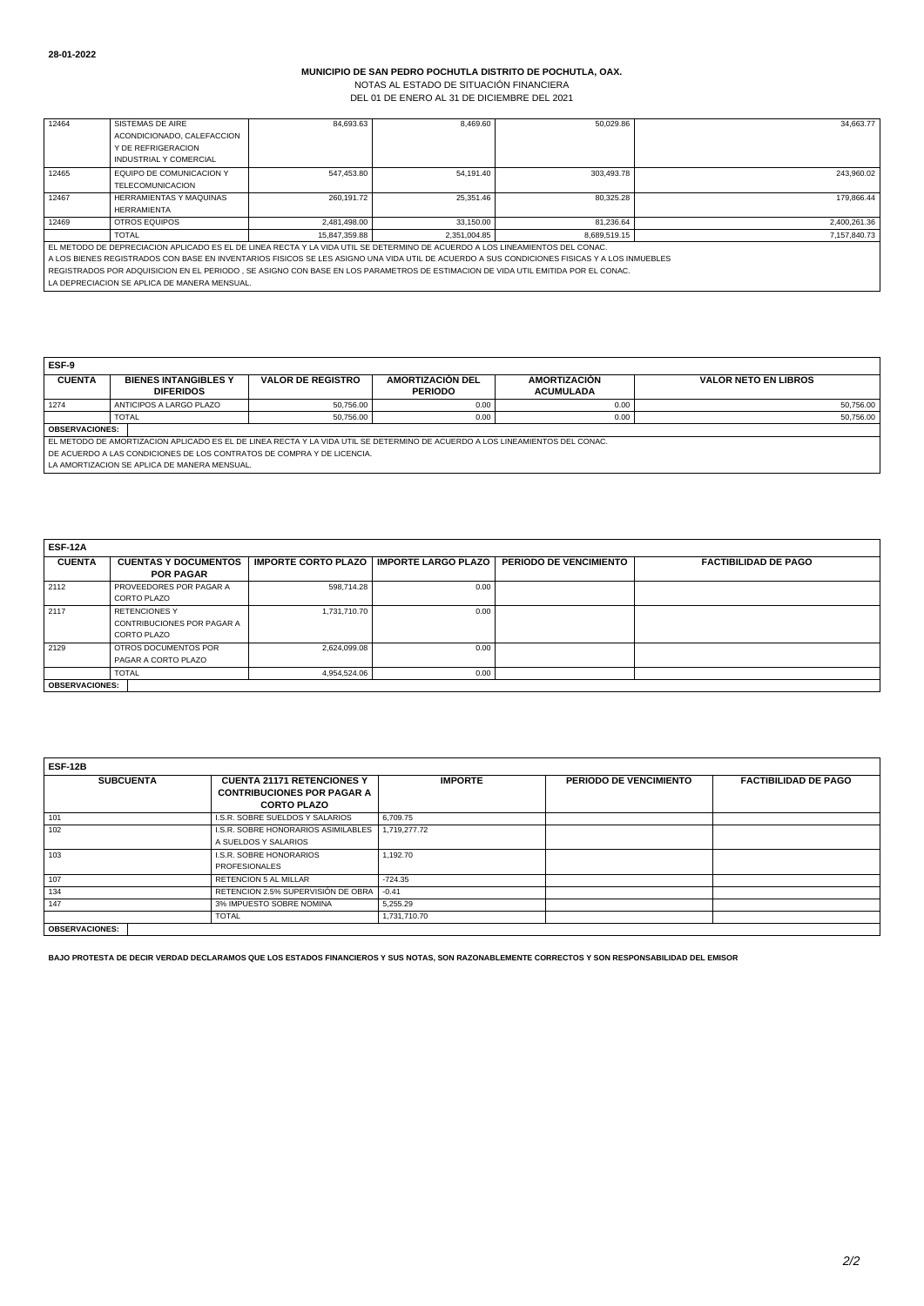NOTAS AL ESTADO DE SITUACIÓN FINANCIERA DEL 01 DE ENERO AL 31 DE DICIEMBRE DEL 2021

| 12464                                                                                                                            | SISTEMAS DE AIRE                                                                                                                             | 84.693.63     | 8.469.60     | 50.029.86    | 34.663.77    |  |  |  |
|----------------------------------------------------------------------------------------------------------------------------------|----------------------------------------------------------------------------------------------------------------------------------------------|---------------|--------------|--------------|--------------|--|--|--|
|                                                                                                                                  | ACONDICIONADO, CALEFACCION                                                                                                                   |               |              |              |              |  |  |  |
|                                                                                                                                  | Y DE REFRIGERACION                                                                                                                           |               |              |              |              |  |  |  |
|                                                                                                                                  | <b>INDUSTRIAL Y COMERCIAL</b>                                                                                                                |               |              |              |              |  |  |  |
| 12465                                                                                                                            | EQUIPO DE COMUNICACION Y                                                                                                                     | 547.453.80    | 54.191.40    | 303.493.78   | 243.960.02   |  |  |  |
|                                                                                                                                  | <b>TELECOMUNICACION</b>                                                                                                                      |               |              |              |              |  |  |  |
| 12467                                                                                                                            | <b>HERRAMIENTAS Y MAQUINAS</b>                                                                                                               | 260.191.72    | 25,351.46    | 80.325.28    | 179.866.44   |  |  |  |
|                                                                                                                                  | <b>HERRAMIENTA</b>                                                                                                                           |               |              |              |              |  |  |  |
| 12469                                                                                                                            | OTROS EQUIPOS                                                                                                                                | 2.481.498.00  | 33.150.00    | 81.236.64    | 2.400.261.36 |  |  |  |
|                                                                                                                                  | <b>TOTAL</b>                                                                                                                                 | 15.847.359.88 | 2.351.004.85 | 8.689.519.15 | 7.157.840.73 |  |  |  |
| EL METODO DE DEPRECIACION APLICADO ES EL DE LINEA RECTA Y LA VIDA UTIL SE DETERMINO DE ACUERDO A LOS LINEAMIENTOS DEL CONAC.     |                                                                                                                                              |               |              |              |              |  |  |  |
|                                                                                                                                  | A LOS BIENES REGISTRADOS CON BASE EN INVENTARIOS FISICOS SE LES ASIGNO UNA VIDA UTIL DE ACUERDO A SUS CONDICIONES FISICAS Y A LOS INMUEBLES. |               |              |              |              |  |  |  |
| REGISTRADOS POR ADQUISICION EN EL PERIODO, SE ASIGNO CON BASE EN LOS PARAMETROS DE ESTIMACION DE VIDA UTIL EMITIDA POR EL CONAC. |                                                                                                                                              |               |              |              |              |  |  |  |
|                                                                                                                                  | LA DEPRECIACION SE APLICA DE MANERA MENSUAL.                                                                                                 |               |              |              |              |  |  |  |

**ESF-9**

| ---                                                                    |                                                                                                                              |                          |                  |                     |                             |  |  |  |
|------------------------------------------------------------------------|------------------------------------------------------------------------------------------------------------------------------|--------------------------|------------------|---------------------|-----------------------------|--|--|--|
| <b>CUENTA</b>                                                          | <b>BIENES INTANGIBLES Y</b>                                                                                                  | <b>VALOR DE REGISTRO</b> | AMORTIZACIÓN DEL | <b>AMORTIZACIÓN</b> | <b>VALOR NETO EN LIBROS</b> |  |  |  |
|                                                                        | <b>DIFERIDOS</b>                                                                                                             |                          | <b>PERIODO</b>   | <b>ACUMULADA</b>    |                             |  |  |  |
| 1274                                                                   | ANTICIPOS A LARGO PLAZO                                                                                                      | 50,756.00                | 0.00             | 0.00                | 50,756.00                   |  |  |  |
|                                                                        | <b>TOTAL</b>                                                                                                                 | 50.756.00                | 0.00             | 0.00                | 50,756.00                   |  |  |  |
| <b>OBSERVACIONES:</b>                                                  |                                                                                                                              |                          |                  |                     |                             |  |  |  |
|                                                                        | EL METODO DE AMORTIZACION APLICADO ES EL DE LINEA RECTA Y LA VIDA UTIL SE DETERMINO DE ACUERDO A LOS LINEAMIENTOS DEL CONAC. |                          |                  |                     |                             |  |  |  |
| DE ACUERDO A LAS CONDICIONES DE LOS CONTRATOS DE COMPRA Y DE LICENCIA. |                                                                                                                              |                          |                  |                     |                             |  |  |  |
| LA AMORTIZACION SE APLICA DE MANERA MENSUAL.                           |                                                                                                                              |                          |                  |                     |                             |  |  |  |
|                                                                        |                                                                                                                              |                          |                  |                     |                             |  |  |  |

| ESF-12A               |                                |              |                                                  |                               |                             |
|-----------------------|--------------------------------|--------------|--------------------------------------------------|-------------------------------|-----------------------------|
| <b>CUENTA</b>         | <b>CUENTAS Y DOCUMENTOS</b>    |              | <b>IMPORTE CORTO PLAZO   IMPORTE LARGO PLAZO</b> | <b>PERIODO DE VENCIMIENTO</b> | <b>FACTIBILIDAD DE PAGO</b> |
|                       | <b>POR PAGAR</b>               |              |                                                  |                               |                             |
| 2112                  | <b>PROVEEDORES POR PAGAR A</b> | 598.714.28   | 0.00                                             |                               |                             |
|                       | CORTO PLAZO                    |              |                                                  |                               |                             |
| 2117                  | <b>RETENCIONESY</b>            | 1.731.710.70 | 0.00                                             |                               |                             |
|                       | CONTRIBUCIONES POR PAGAR A     |              |                                                  |                               |                             |
|                       | CORTO PLAZO                    |              |                                                  |                               |                             |
| 2129                  | OTROS DOCUMENTOS POR           | 2.624.099.08 | 0.00                                             |                               |                             |
|                       | l PAGAR A CORTO PLAZO          |              |                                                  |                               |                             |
|                       | <b>TOTAL</b>                   | 4.954.524.06 | 0.00                                             |                               |                             |
| <b>OBSERVACIONES:</b> |                                |              |                                                  |                               |                             |

| <b>ESF-12B</b>        |                                                                                              |                |                        |                             |  |  |  |
|-----------------------|----------------------------------------------------------------------------------------------|----------------|------------------------|-----------------------------|--|--|--|
| <b>SUBCUENTA</b>      | <b>CUENTA 21171 RETENCIONES Y</b><br><b>CONTRIBUCIONES POR PAGAR A</b><br><b>CORTO PLAZO</b> | <b>IMPORTE</b> | PERIODO DE VENCIMIENTO | <b>FACTIBILIDAD DE PAGO</b> |  |  |  |
| 101                   | I.S.R. SOBRE SUELDOS Y SALARIOS                                                              | 6.709.75       |                        |                             |  |  |  |
| 102                   | I.S.R. SOBRE HONORARIOS ASIMILABLES<br>A SUELDOS Y SALARIOS                                  | 1,719,277.72   |                        |                             |  |  |  |
| 103                   | I.S.R. SOBRE HONORARIOS<br><b>PROFESIONALES</b>                                              | 1.192.70       |                        |                             |  |  |  |
| 107                   | <b>RETENCION 5 AL MILLAR</b>                                                                 | $-724.35$      |                        |                             |  |  |  |
| 134                   | RETENCION 2.5% SUPERVISIÓN DE OBRA                                                           | $-0.41$        |                        |                             |  |  |  |
| 147                   | 3% IMPUESTO SOBRE NOMINA                                                                     | 5.255.29       |                        |                             |  |  |  |
|                       | <b>TOTAL</b>                                                                                 | 1,731,710.70   |                        |                             |  |  |  |
| <b>OBSERVACIONES:</b> |                                                                                              |                |                        |                             |  |  |  |

**BAJO PROTESTA DE DECIR VERDAD DECLARAMOS QUE LOS ESTADOS FINANCIEROS Y SUS NOTAS, SON RAZONABLEMENTE CORRECTOS Y SON RESPONSABILIDAD DEL EMISOR**

٦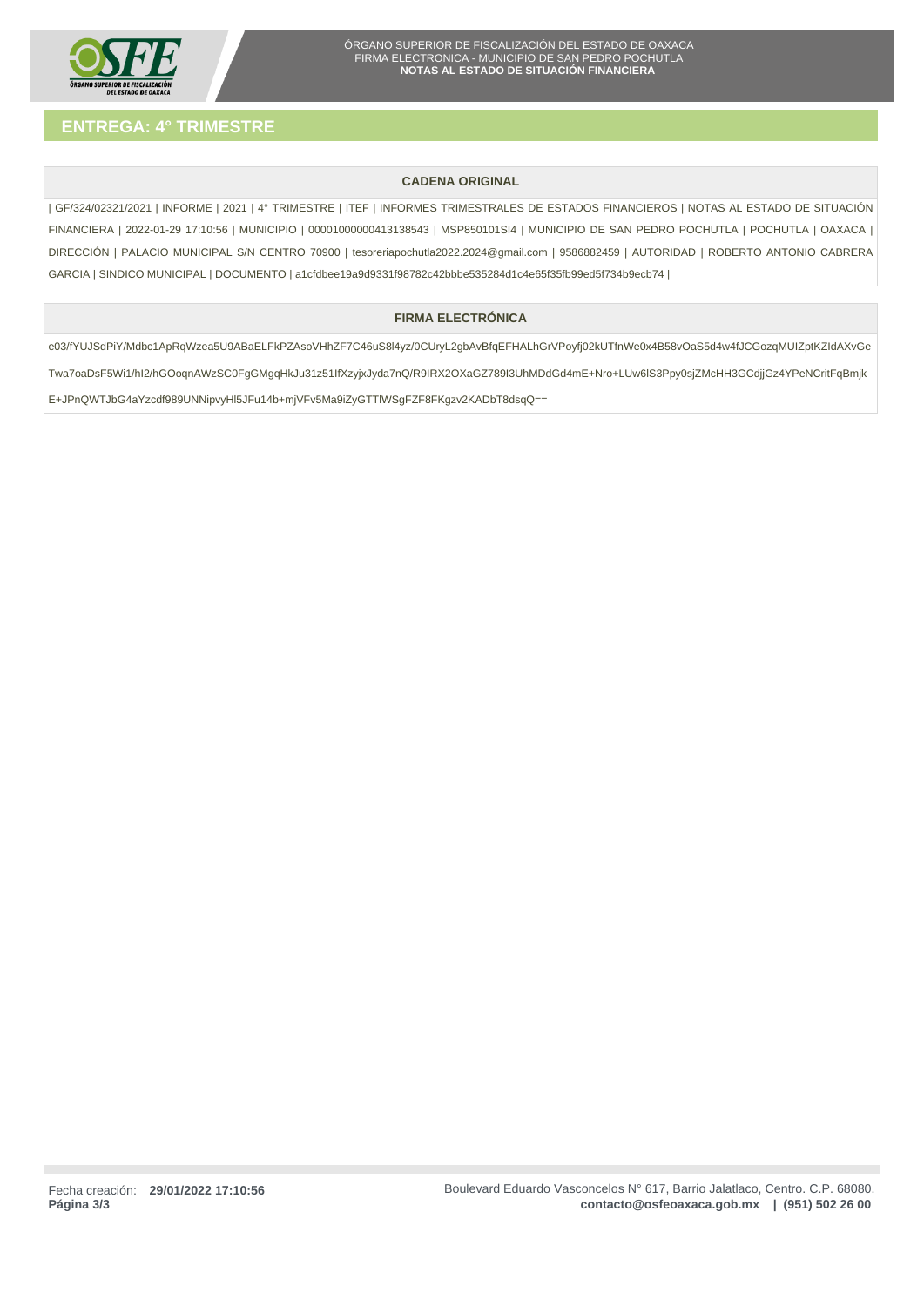

# **CADENA ORIGINAL**

| GF/324/02321/2021 | INFORME | 2021 | 4° TRIMESTRE | ITEF | INFORMES TRIMESTRALES DE ESTADOS FINANCIEROS | NOTAS AL ESTADO DE SITUACIÓN FINANCIERA | 2022-01-29 17:10:56 | MUNICIPIO | 00001000000413138543 | MSP850101SI4 | MUNICIPIO DE SAN PEDRO POCHUTLA | POCHUTLA | OAXACA | DIRECCIÓN | PALACIO MUNICIPAL S/N CENTRO 70900 | tesoreriapochutla2022.2024@gmail.com | 9586882459 | AUTORIDAD | ROBERTO ANTONIO CABRERA GARCIA | SINDICO MUNICIPAL | DOCUMENTO | a1cfdbee19a9d9331f98782c42bbbe535284d1c4e65f35fb99ed5f734b9ecb74 |

# **FIRMA ELECTRÓNICA**

e03/fYUJSdPiY/Mdbc1ApRqWzea5U9ABaELFkPZAsoVHhZF7C46uS8l4yz/0CUryL2gbAvBfqEFHALhGrVPoyfj02kUTfnWe0x4B58vOaS5d4w4fJCGozqMUIZptKZIdAXvGe Twa7oaDsF5Wi1/hI2/hGOoqnAWzSC0FgGMgqHkJu31z51IfXzyjxJyda7nQ/R9IRX2OXaGZ789I3UhMDdGd4mE+Nro+LUw6lS3Ppy0sjZMcHH3GCdjjGz4YPeNCritFqBmjk E+JPnQWTJbG4aYzcdf989UNNipvyHl5JFu14b+mjVFv5Ma9iZyGTTlWSgFZF8FKgzv2KADbT8dsqQ==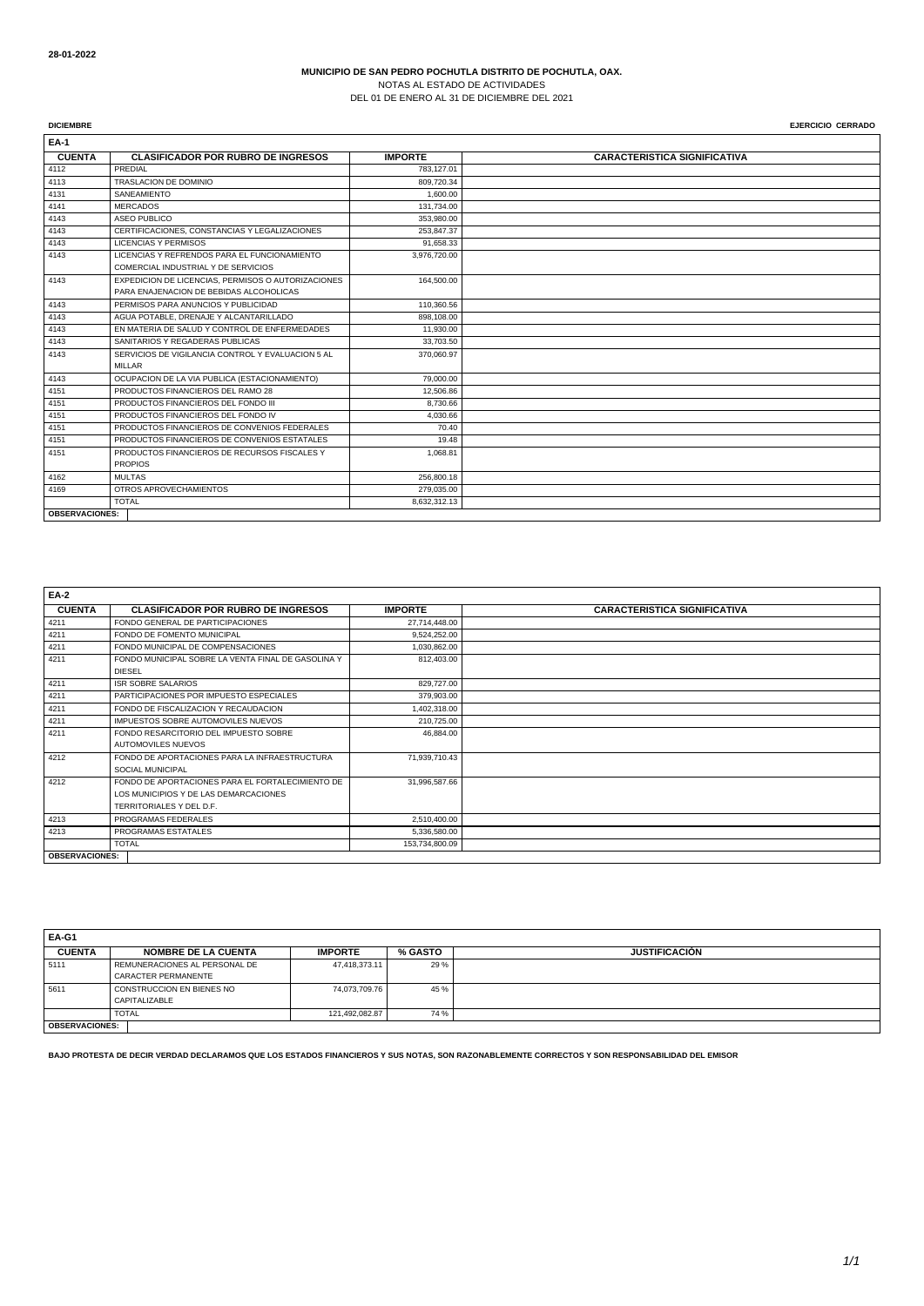NOTAS AL ESTADO DE ACTIVIDADES DEL 01 DE ENERO AL 31 DE DICIEMBRE DEL 2021

**DICIEMBRE** EJERCICIO CERRADO

**EA-1 CUENTA CLASIFICADOR POR RUBRO DE INGRESOS <b>IMPORTE CARACTERISTICA SIGNIFICATIVA**<br> **PREDIAL PREDIAL** 4112 PREDIAL PREDIAL PREDIAL PREDIAL PREDIAL PREDIAL PREDIAL PREDIAL PREDIAL PREDIAL PREDIAL PREDIAL PREDIAL P 4113 TRASLACION DE DOMINIO 809,720.34 4131 SANEAMIENTO 1,600.00 4141 MERCADOS 131,734.00 4143 ASEO PUBLICO 353,980.00<br>4143 ASEO PUBLICO 353,980.00<br>4143 CERTIFICACIONES, CONSTANCIAS Y LEGALIZACIONES 253,847.37 CERTIFICACIONES, CONSTANCIAS Y LEGALIZACIONES 4143 LICENCIAS Y PERMISOS 91,658.33 4143 LICENCIAS Y REFRENDOS PARA EL FUNCIONAMIENTO COMERCIAL INDUSTRIAL Y DE SERVICIOS 3,976,720.00 4143 EXPEDICION DE LICENCIAS, PERMISOS O AUTORIZACIONES PARA ENAJENACION DE BEBIDAS ALCOHOLICAS 164,500.00 4143 PERMISOS PARA ANUNCIOS Y PUBLICIDAD 110,360.56 4143 AGUA POTABLE, DRENAJE Y ALCANTARILLADO 898,108.00 4143 EN MATERIA DE SALUD Y CONTROL DE ENFERMEDADES 11,930.00 4143 SANITARIOS Y REGADERAS PUBLICAS 33,703.50 4143 SERVICIOS DE VIGILANCIA CONTROL Y EVALUACION 5 AL **MILLAR** 370,060.97 4143 OCUPACION DE LA VIA PUBLICA (ESTACIONAMIENTO) 79,000.00 4151 PRODUCTOS FINANCIEROS DEL RAMO 28 12,506.86 erration de al externo de la productos FINANCIEROS DEL FONDO III de al extremo de al extremo de al extremo de a<br>Extremo de al extremo de al extremo de al extremo de al extremo de al extremo de al extremo de al extremo de a 4151 PRODUCTOS FINANCIEROS DEL FONDO IV 4,030.66 4151 PRODUCTOS FINANCIEROS DE CONVENIOS FEDERALES 70.40 4151 PRODUCTOS FINANCIEROS DE CONVENIOS ESTATALES 19.48<br>4151 PRODUCTOS FINANCIEROS DE RECURSOS FISCALES Y 1,068.81 4151 PRODUCTOS FINANCIEROS DE RECURSOS FISCALES Y PROPIOS 1,068.81 4162 MULTAS 256,800.18 4169 OTROS APROVECHAMIENTOS 279,035.00 **TOTAL** 8,632,312.13 **OBSERVACIONES:**

| <b>EA-2</b>           |                                                    |                |                                     |
|-----------------------|----------------------------------------------------|----------------|-------------------------------------|
| <b>CUENTA</b>         | <b>CLASIFICADOR POR RUBRO DE INGRESOS</b>          | <b>IMPORTE</b> | <b>CARACTERISTICA SIGNIFICATIVA</b> |
| 4211                  | FONDO GENERAL DE PARTICIPACIONES                   | 27,714,448.00  |                                     |
| 4211                  | FONDO DE FOMENTO MUNICIPAL                         | 9,524,252.00   |                                     |
| 4211                  | FONDO MUNICIPAL DE COMPENSACIONES                  | 1,030,862.00   |                                     |
| 4211                  | FONDO MUNICIPAL SOBRE LA VENTA FINAL DE GASOLINA Y | 812,403.00     |                                     |
|                       | <b>DIESEL</b>                                      |                |                                     |
| 4211                  | <b>ISR SOBRE SALARIOS</b>                          | 829,727.00     |                                     |
| 4211                  | PARTICIPACIONES POR IMPUESTO ESPECIALES            | 379,903.00     |                                     |
| 4211                  | FONDO DE FISCALIZACION Y RECAUDACION               | 1,402,318.00   |                                     |
| 4211                  | IMPUESTOS SOBRE AUTOMOVILES NUEVOS                 | 210,725.00     |                                     |
| 4211                  | FONDO RESARCITORIO DEL IMPUESTO SOBRE              | 46,884.00      |                                     |
|                       | AUTOMOVILES NUEVOS                                 |                |                                     |
| 4212                  | FONDO DE APORTACIONES PARA LA INFRAESTRUCTURA      | 71,939,710.43  |                                     |
|                       | SOCIAL MUNICIPAL                                   |                |                                     |
| 4212                  | FONDO DE APORTACIONES PARA EL FORTALECIMIENTO DE   | 31,996,587.66  |                                     |
|                       | LOS MUNICIPIOS Y DE LAS DEMARCACIONES              |                |                                     |
|                       | TERRITORIALES Y DEL D.F.                           |                |                                     |
| 4213                  | PROGRAMAS FEDERALES                                | 2,510,400.00   |                                     |
| 4213                  | PROGRAMAS ESTATALES                                | 5,336,580.00   |                                     |
|                       | <b>TOTAL</b>                                       | 153,734,800.09 |                                     |
| <b>OBSERVACIONES:</b> |                                                    |                |                                     |

| EA-G1                 |                               |                |         |                      |
|-----------------------|-------------------------------|----------------|---------|----------------------|
| <b>CUENTA</b>         | <b>NOMBRE DE LA CUENTA</b>    | <b>IMPORTE</b> | % GASTO | <b>JUSTIFICACIÓN</b> |
| 5111                  | REMUNERACIONES AL PERSONAL DE | 47,418,373.11  | 29 %    |                      |
|                       | CARACTER PERMANENTE           |                |         |                      |
| 5611                  | CONSTRUCCION EN BIENES NO     | 74,073,709.76  | 45 %    |                      |
|                       | CAPITALIZABLE                 |                |         |                      |
|                       | <b>TOTAL</b>                  | 121,492,082.87 | 74 %    |                      |
| <b>OBSERVACIONES:</b> |                               |                |         |                      |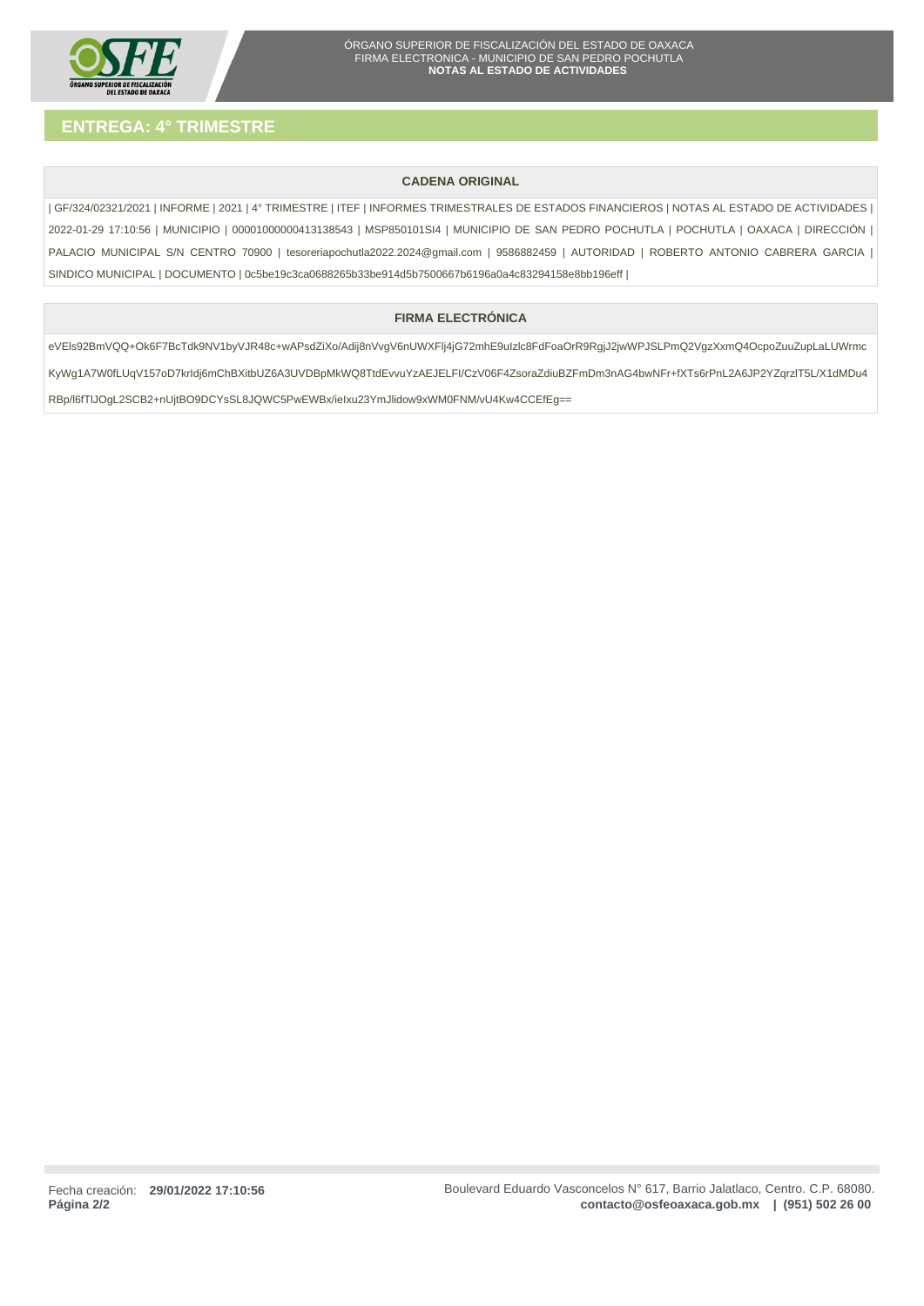

# **CADENA ORIGINAL**

| GF/324/02321/2021 | INFORME | 2021 | 4° TRIMESTRE | ITEF | INFORMES TRIMESTRALES DE ESTADOS FINANCIEROS | NOTAS AL ESTADO DE ACTIVIDADES | 2022-01-29 17:10:56 | MUNICIPIO | 00001000000413138543 | MSP850101SI4 | MUNICIPIO DE SAN PEDRO POCHUTLA | POCHUTLA | OAXACA | DIRECCIÓN | PALACIO MUNICIPAL S/N CENTRO 70900 | tesoreriapochutla2022.2024@gmail.com | 9586882459 | AUTORIDAD | ROBERTO ANTONIO CABRERA GARCIA | SINDICO MUNICIPAL | DOCUMENTO | 0c5be19c3ca0688265b33be914d5b7500667b6196a0a4c83294158e8bb196eff |

# **FIRMA ELECTRÓNICA**

eVEls92BmVQQ+Ok6F7BcTdk9NV1byVJR48c+wAPsdZiXo/Adij8nVvgV6nUWXFlj4jG72mhE9uIzlc8FdFoaOrR9RgjJ2jwWPJSLPmQ2VgzXxmQ4OcpoZuuZupLaLUWrmc KyWg1A7W0fLUqV157oD7krIdj6mChBXitbUZ6A3UVDBpMkWQ8TtdEvvuYzAEJELFI/CzV06F4ZsoraZdiuBZFmDm3nAG4bwNFr+fXTs6rPnL2A6JP2YZqrzlT5L/X1dMDu4 RBp/l6fTlJOgL2SCB2+nUjtBO9DCYsSL8JQWC5PwEWBx/ieIxu23YmJlidow9xWM0FNM/vU4Kw4CCEfEg==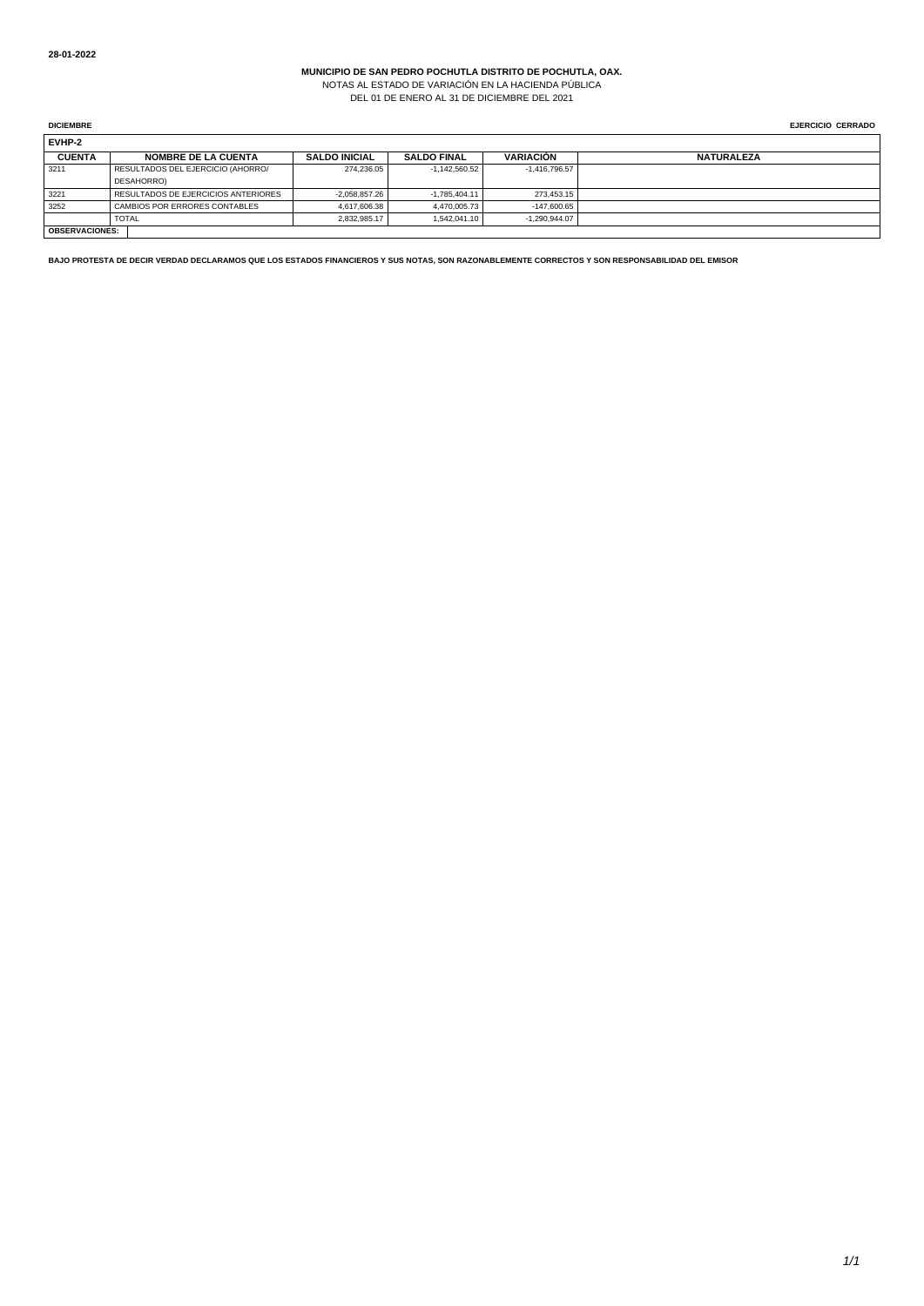NOTAS AL ESTADO DE VARIACIÓN EN LA HACIENDA PÚBLICA DEL 01 DE ENERO AL 31 DE DICIEMBRE DEL 2021

**DICIEMBRE** EJERCICIO CERRADO

| EVHP-2        |                                     |                      |                    |                  |                   |  |  |  |
|---------------|-------------------------------------|----------------------|--------------------|------------------|-------------------|--|--|--|
| <b>CUENTA</b> | <b>NOMBRE DE LA CUENTA</b>          | <b>SALDO INICIAL</b> | <b>SALDO FINAL</b> | <b>VARIACIÓN</b> | <b>NATURALEZA</b> |  |  |  |
| 3211          | RESULTADOS DEL EJERCICIO (AHORRO/   | 274.236.05           | $-1.142.560.52$    | $-1.416.796.57$  |                   |  |  |  |
|               | DESAHORRO)                          |                      |                    |                  |                   |  |  |  |
| 3221          | RESULTADOS DE EJERCICIOS ANTERIORES | $-2.058.857.26$      | $-1.785.404.11$    | 273.453.15       |                   |  |  |  |
| 3252          | CAMBIOS POR ERRORES CONTABLES       | 4.617.606.38         | 4.470.005.73       | $-147.600.65$    |                   |  |  |  |
|               | <b>TOTAL</b>                        | 2.832.985.17         | 1.542.041.10       | $-1.290.944.07$  |                   |  |  |  |
|               | <b>OBSERVACIONES:</b>               |                      |                    |                  |                   |  |  |  |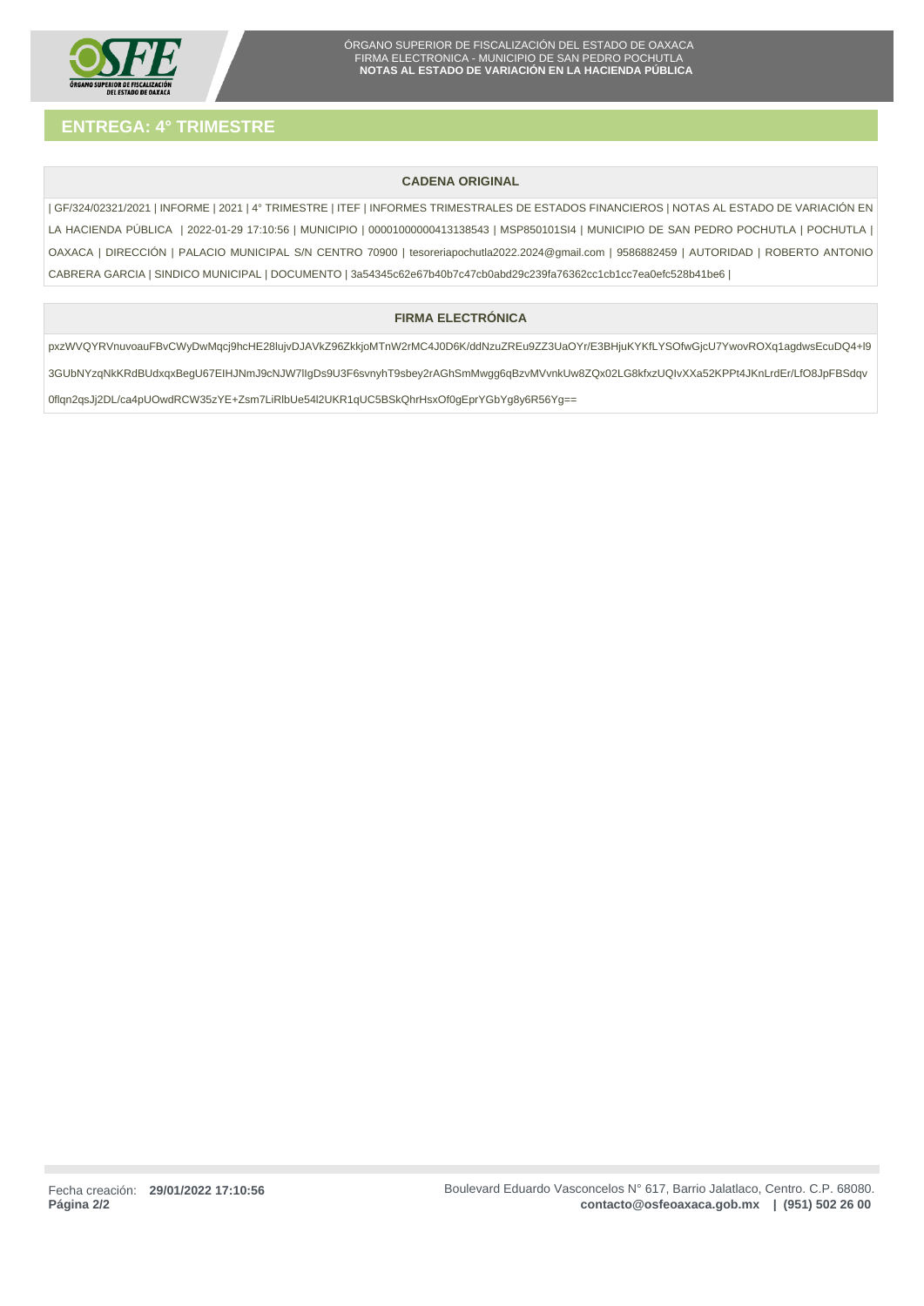

# **CADENA ORIGINAL**

| GF/324/02321/2021 | INFORME | 2021 | 4° TRIMESTRE | ITEF | INFORMES TRIMESTRALES DE ESTADOS FINANCIEROS | NOTAS AL ESTADO DE VARIACIÓN EN LA HACIENDA PÚBLICA | 2022-01-29 17:10:56 | MUNICIPIO | 00001000000413138543 | MSP850101SI4 | MUNICIPIO DE SAN PEDRO POCHUTLA | POCHUTLA | OAXACA | DIRECCIÓN | PALACIO MUNICIPAL S/N CENTRO 70900 | tesoreriapochutla2022.2024@gmail.com | 9586882459 | AUTORIDAD | ROBERTO ANTONIO CABRERA GARCIA | SINDICO MUNICIPAL | DOCUMENTO | 3a54345c62e67b40b7c47cb0abd29c239fa76362cc1cb1cc7ea0efc528b41be6 |

# **FIRMA ELECTRÓNICA**

pxzWVQYRVnuvoauFBvCWyDwMqcj9hcHE28lujvDJAVkZ96ZkkjoMTnW2rMC4J0D6K/ddNzuZREu9ZZ3UaOYr/E3BHjuKYKfLYSOfwGjcU7YwovROXq1agdwsEcuDQ4+l9 3GUbNYzqNkKRdBUdxqxBegU67EIHJNmJ9cNJW7lIgDs9U3F6svnyhT9sbey2rAGhSmMwgg6qBzvMVvnkUw8ZQx02LG8kfxzUQIvXXa52KPPt4JKnLrdEr/LfO8JpFBSdqv 0flqn2qsJj2DL/ca4pUOwdRCW35zYE+Zsm7LiRlbUe54l2UKR1qUC5BSkQhrHsxOf0gEprYGbYg8y6R56Yg==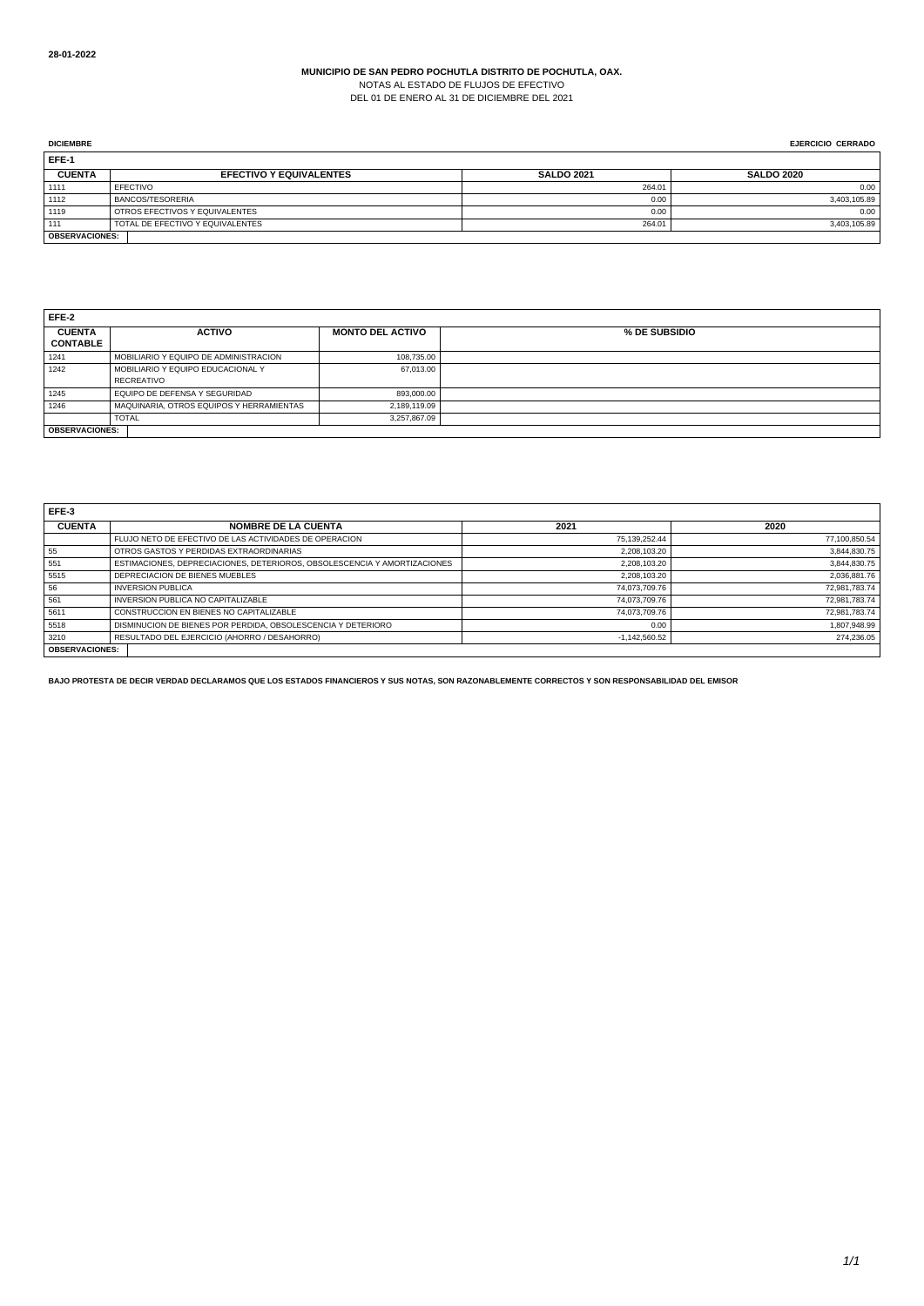NOTAS AL ESTADO DE FLUJOS DE EFECTIVO DEL 01 DE ENERO AL 31 DE DICIEMBRE DEL 2021

| <b>DICIEMBRE</b>      |                                  |                   | <b>EJERCICIO CERRADO</b> |
|-----------------------|----------------------------------|-------------------|--------------------------|
| EFE-1                 |                                  |                   |                          |
| <b>CUENTA</b>         | <b>EFECTIVO Y EQUIVALENTES</b>   | <b>SALDO 2021</b> | <b>SALDO 2020</b>        |
| 1111                  | EFECTIVO                         | 264.01            | 0.00                     |
| 1112                  | <b>BANCOS/TESORERIA</b>          | 0.00              | 3,403,105.89             |
| 1119                  | OTROS EFECTIVOS Y EQUIVALENTES   | 0.00              | 0.00                     |
| 111                   | TOTAL DE EFECTIVO Y EQUIVALENTES | 264.01            | 3,403,105.89             |
| <b>OBSERVACIONES:</b> |                                  |                   |                          |

| EFE-2                 |                                          |                         |               |
|-----------------------|------------------------------------------|-------------------------|---------------|
| <b>CUENTA</b>         | <b>ACTIVO</b>                            | <b>MONTO DEL ACTIVO</b> | % DE SUBSIDIO |
| <b>CONTABLE</b>       |                                          |                         |               |
| 1241                  | MOBILIARIO Y EQUIPO DE ADMINISTRACION    | 108.735.00              |               |
| 1242                  | MOBILIARIO Y EQUIPO EDUCACIONAL Y        | 67,013.00               |               |
|                       | <b>RECREATIVO</b>                        |                         |               |
| 1245                  | EQUIPO DE DEFENSA Y SEGURIDAD            | 893.000.00              |               |
| 1246                  | MAQUINARIA, OTROS EQUIPOS Y HERRAMIENTAS | 2,189,119.09            |               |
|                       | <b>TOTAL</b>                             | 3.257.867.09            |               |
| <b>OBSERVACIONES:</b> |                                          |                         |               |

| EFE-3                 |                                                                          |                 |               |
|-----------------------|--------------------------------------------------------------------------|-----------------|---------------|
| <b>CUENTA</b>         | <b>NOMBRE DE LA CUENTA</b>                                               | 2021            | 2020          |
|                       | FLUJO NETO DE EFECTIVO DE LAS ACTIVIDADES DE OPERACION                   | 75.139.252.44   | 77,100,850.54 |
| 55                    | OTROS GASTOS Y PERDIDAS EXTRAORDINARIAS                                  | 2,208,103.20    | 3,844,830.75  |
| 551                   | ESTIMACIONES, DEPRECIACIONES, DETERIOROS, OBSOLESCENCIA Y AMORTIZACIONES | 2,208,103.20    | 3,844,830.75  |
| 5515                  | DEPRECIACION DE BIENES MUEBLES                                           | 2.208.103.20    | 2,036,881.76  |
| 56                    | <b>INVERSION PUBLICA</b>                                                 | 74.073.709.76   | 72,981,783.74 |
| 561                   | INVERSION PUBLICA NO CAPITALIZABLE                                       | 74.073.709.76   | 72,981,783.74 |
| 5611                  | CONSTRUCCION EN BIENES NO CAPITALIZABLE                                  | 74.073.709.76   | 72,981,783.74 |
| 5518                  | DISMINUCION DE BIENES POR PERDIDA, OBSOLESCENCIA Y DETERIORO             | 0.00            | 1,807,948.99  |
| 3210                  | RESULTADO DEL EJERCICIO (AHORRO / DESAHORRO)                             | $-1.142.560.52$ | 274.236.05    |
| <b>OBSERVACIONES:</b> |                                                                          |                 |               |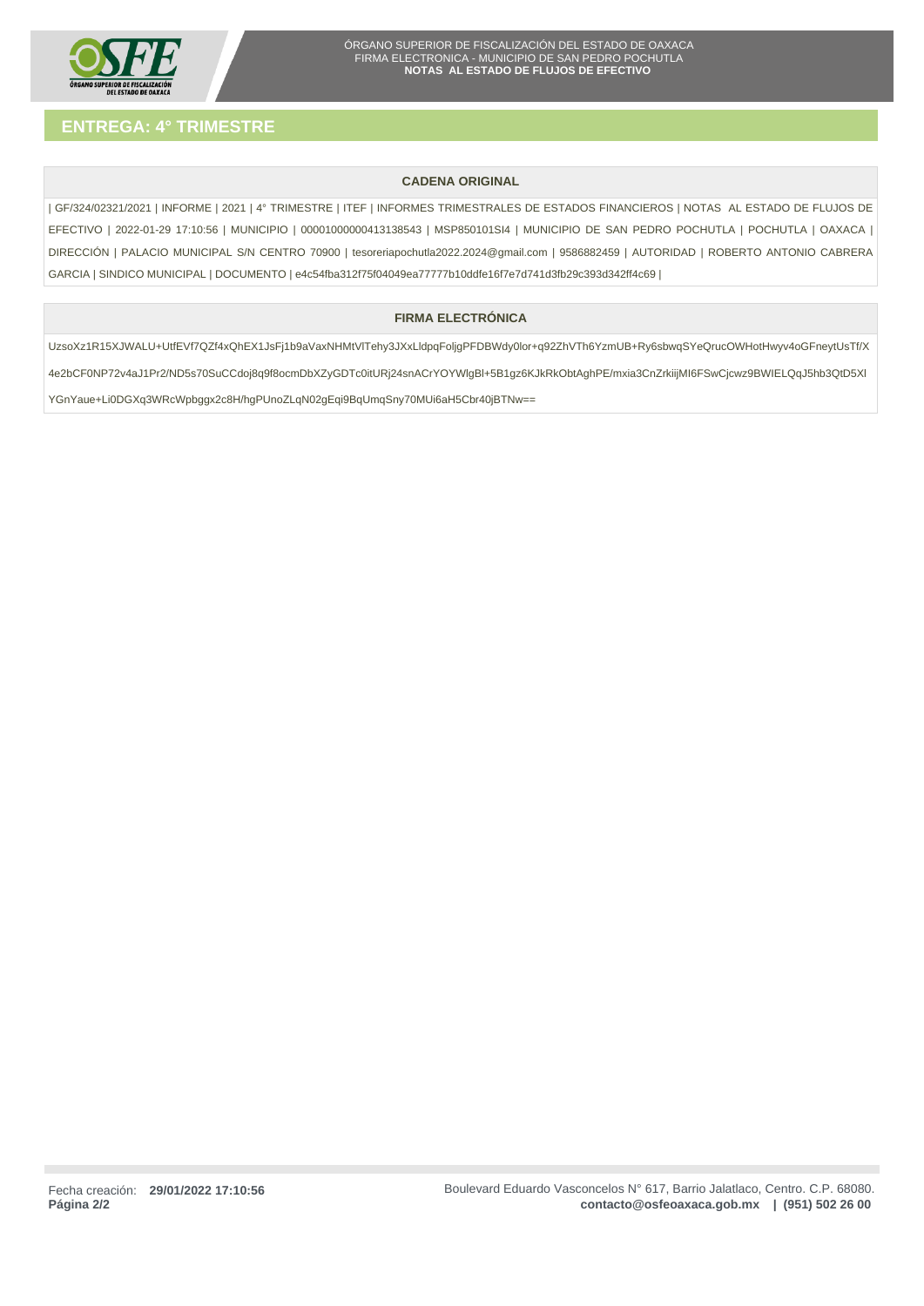

# **CADENA ORIGINAL**

| GF/324/02321/2021 | INFORME | 2021 | 4° TRIMESTRE | ITEF | INFORMES TRIMESTRALES DE ESTADOS FINANCIEROS | NOTAS AL ESTADO DE FLUJOS DE EFECTIVO | 2022-01-29 17:10:56 | MUNICIPIO | 00001000000413138543 | MSP850101SI4 | MUNICIPIO DE SAN PEDRO POCHUTLA | POCHUTLA | OAXACA | DIRECCIÓN | PALACIO MUNICIPAL S/N CENTRO 70900 | tesoreriapochutla2022.2024@gmail.com | 9586882459 | AUTORIDAD | ROBERTO ANTONIO CABRERA GARCIA | SINDICO MUNICIPAL | DOCUMENTO | e4c54fba312f75f04049ea77777b10ddfe16f7e7d741d3fb29c393d342ff4c69 |

# **FIRMA ELECTRÓNICA**

UzsoXz1R15XJWALU+UtfEVf7QZf4xQhEX1JsFj1b9aVaxNHMtVlTehy3JXxLldpqFoljgPFDBWdy0lor+q92ZhVTh6YzmUB+Ry6sbwqSYeQrucOWHotHwyv4oGFneytUsTf/X 4e2bCF0NP72v4aJ1Pr2/ND5s70SuCCdoj8q9f8ocmDbXZyGDTc0itURj24snACrYOYWlgBl+5B1gz6KJkRkObtAghPE/mxia3CnZrkiijMI6FSwCjcwz9BWIELQqJ5hb3QtD5Xl YGnYaue+Li0DGXq3WRcWpbggx2c8H/hgPUnoZLqN02gEqi9BqUmqSny70MUi6aH5Cbr40jBTNw==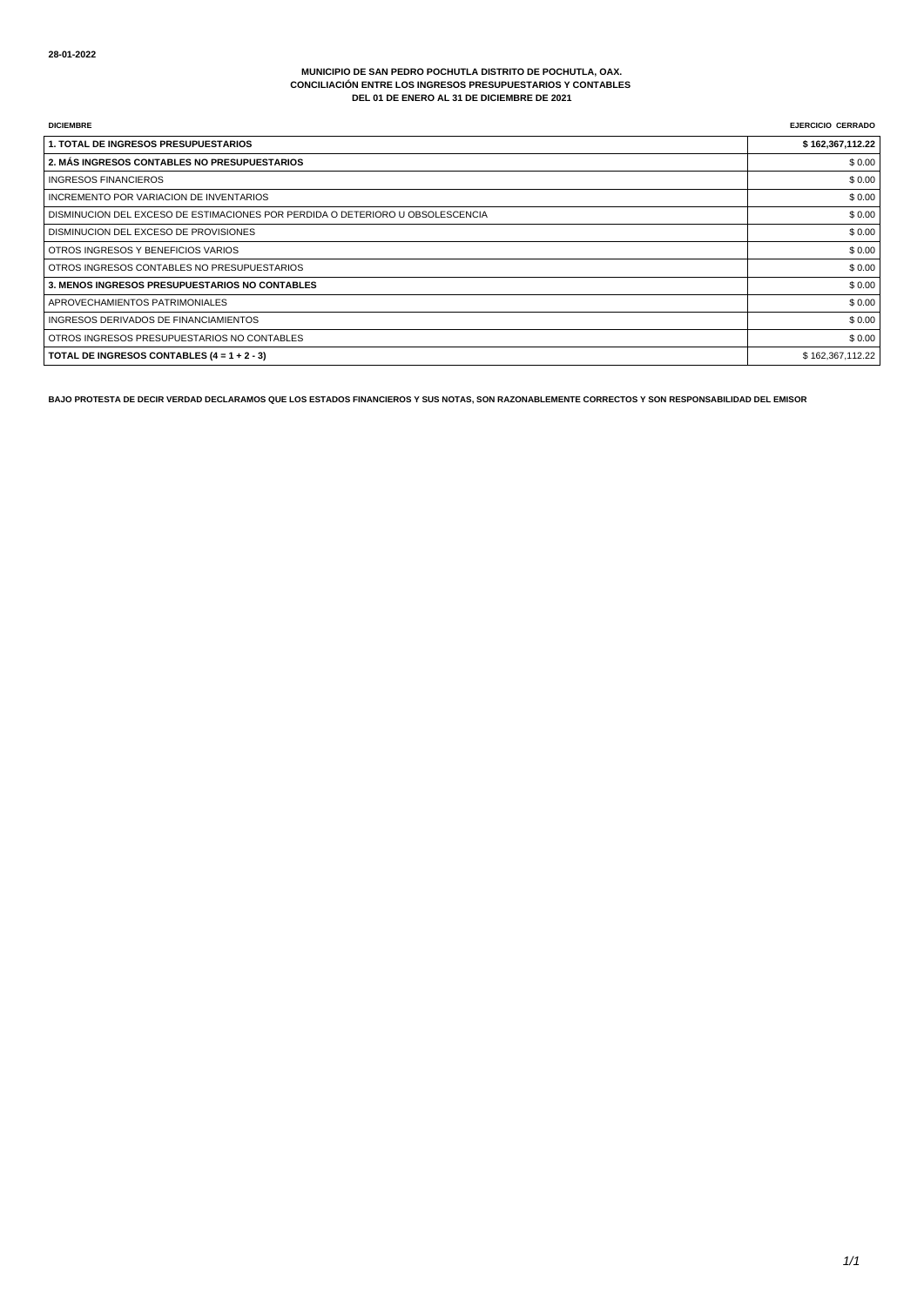#### **MUNICIPIO DE SAN PEDRO POCHUTLA DISTRITO DE POCHUTLA, OAX. CONCILIACIÓN ENTRE LOS INGRESOS PRESUPUESTARIOS Y CONTABLES DEL 01 DE ENERO AL 31 DE DICIEMBRE DE 2021**

| <b>DICIEMBRE</b>                                                               | <b>EJERCICIO CERRADO</b> |
|--------------------------------------------------------------------------------|--------------------------|
| <b>1. TOTAL DE INGRESOS PRESUPUESTARIOS</b>                                    | \$162,367,112.22         |
| 2. MÁS INGRESOS CONTABLES NO PRESUPUESTARIOS                                   | \$0.00                   |
| <b>INGRESOS FINANCIEROS</b>                                                    | \$0.00                   |
| INCREMENTO POR VARIACION DE INVENTARIOS                                        | \$0.00                   |
| DISMINUCION DEL EXCESO DE ESTIMACIONES POR PERDIDA O DETERIORO U OBSOLESCENCIA | \$0.00                   |
| DISMINUCION DEL EXCESO DE PROVISIONES                                          | \$0.00                   |
| OTROS INGRESOS Y BENEFICIOS VARIOS                                             | \$0.00                   |
| OTROS INGRESOS CONTABLES NO PRESUPUESTARIOS                                    | \$0.00                   |
| 3. MENOS INGRESOS PRESUPUESTARIOS NO CONTABLES                                 | \$0.00                   |
| APROVECHAMIENTOS PATRIMONIALES                                                 | \$0.00                   |
| INGRESOS DERIVADOS DE FINANCIAMIENTOS                                          | \$0.00                   |
| OTROS INGRESOS PRESUPUESTARIOS NO CONTABLES                                    | \$0.00                   |
| TOTAL DE INGRESOS CONTABLES $(4 = 1 + 2 - 3)$                                  | \$162,367,112.22         |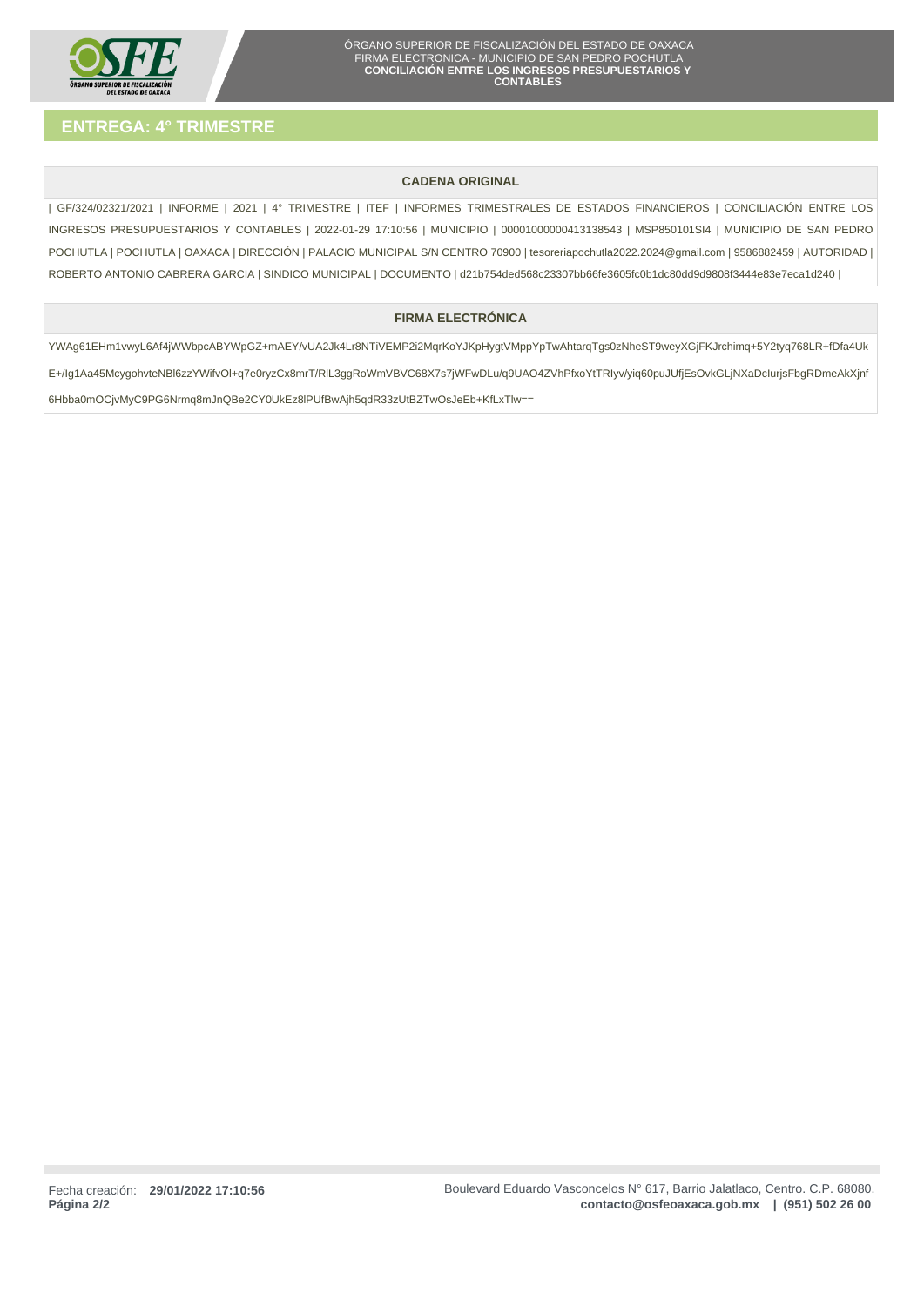

# **CADENA ORIGINAL**

| GF/324/02321/2021 | INFORME | 2021 | 4° TRIMESTRE | ITEF | INFORMES TRIMESTRALES DE ESTADOS FINANCIEROS | CONCILIACIÓN ENTRE LOS INGRESOS PRESUPUESTARIOS Y CONTABLES | 2022-01-29 17:10:56 | MUNICIPIO | 00001000000413138543 | MSP850101SI4 | MUNICIPIO DE SAN PEDRO POCHUTLA | POCHUTLA | OAXACA | DIRECCIÓN | PALACIO MUNICIPAL S/N CENTRO 70900 | tesoreriapochutla2022.2024@gmail.com | 9586882459 | AUTORIDAD | ROBERTO ANTONIO CABRERA GARCIA | SINDICO MUNICIPAL | DOCUMENTO | d21b754ded568c23307bb66fe3605fc0b1dc80dd9d9808f3444e83e7eca1d240 |

# **FIRMA ELECTRÓNICA**

YWAg61EHm1vwyL6Af4jWWbpcABYWpGZ+mAEY/vUA2Jk4Lr8NTiVEMP2i2MqrKoYJKpHygtVMppYpTwAhtarqTgs0zNheST9weyXGjFKJrchimq+5Y2tyq768LR+fDfa4Uk E+/Ig1Aa45McygohvteNBl6zzYWifvOl+q7e0ryzCx8mrT/RlL3ggRoWmVBVC68X7s7jWFwDLu/q9UAO4ZVhPfxoYtTRIyv/yiq60puJUfjEsOvkGLjNXaDcIurjsFbgRDmeAkXjnf 6Hbba0mOCjvMyC9PG6Nrmq8mJnQBe2CY0UkEz8lPUfBwAjh5qdR33zUtBZTwOsJeEb+KfLxTlw==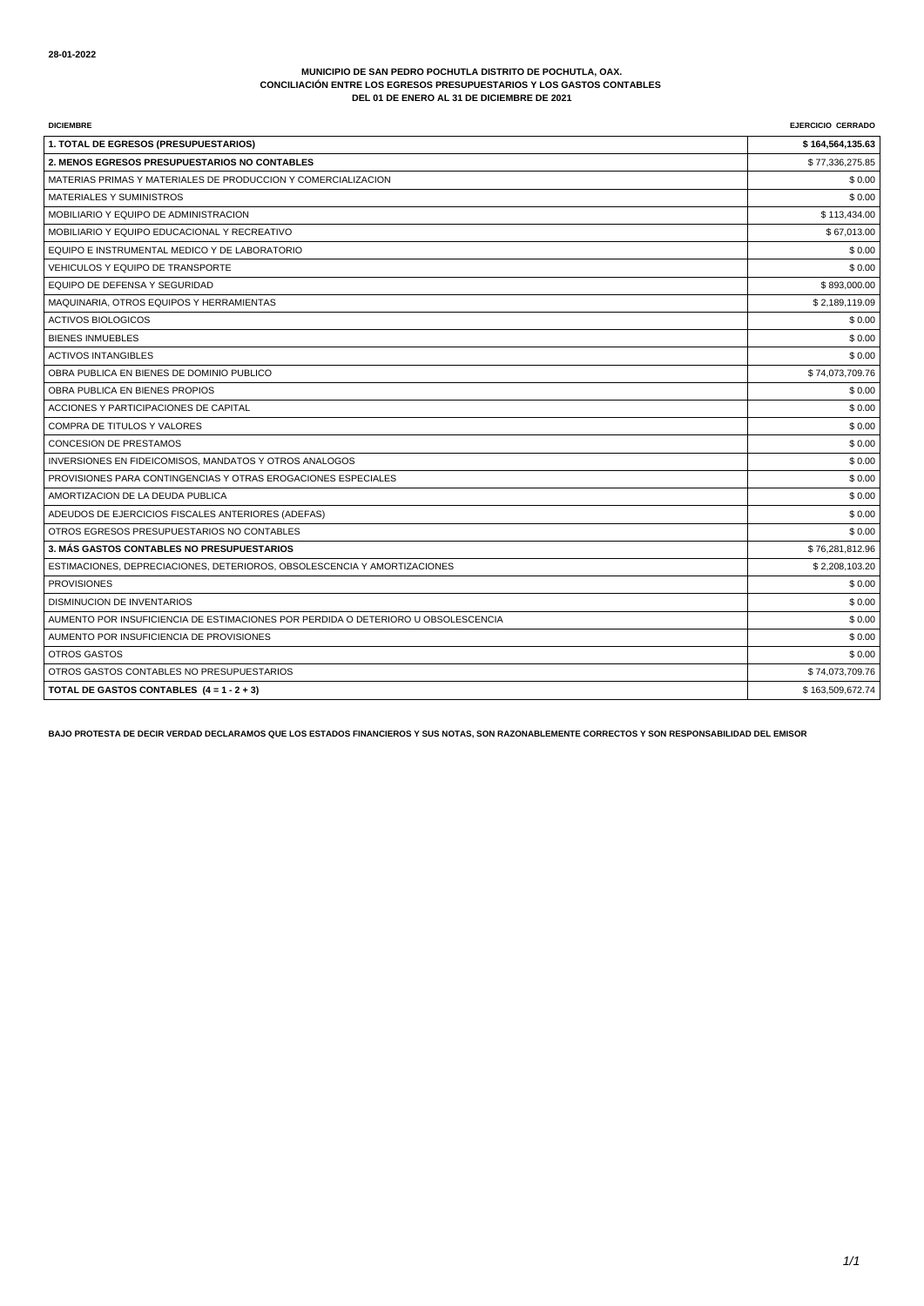#### **MUNICIPIO DE SAN PEDRO POCHUTLA DISTRITO DE POCHUTLA, OAX. CONCILIACIÓN ENTRE LOS EGRESOS PRESUPUESTARIOS Y LOS GASTOS CONTABLES DEL 01 DE ENERO AL 31 DE DICIEMBRE DE 2021**

| <b>DICIEMBRE</b>                                                                  | <b>EJERCICIO CERRADO</b> |
|-----------------------------------------------------------------------------------|--------------------------|
| 1. TOTAL DE EGRESOS (PRESUPUESTARIOS)                                             | \$164,564,135.63         |
| 2. MENOS EGRESOS PRESUPUESTARIOS NO CONTABLES                                     | \$77,336,275.85          |
| MATERIAS PRIMAS Y MATERIALES DE PRODUCCION Y COMERCIALIZACION                     | \$0.00                   |
| <b>MATERIALES Y SUMINISTROS</b>                                                   | \$0.00                   |
| MOBILIARIO Y EQUIPO DE ADMINISTRACION                                             | \$113,434.00             |
| MOBILIARIO Y EQUIPO EDUCACIONAL Y RECREATIVO                                      | \$67,013.00              |
| EQUIPO E INSTRUMENTAL MEDICO Y DE LABORATORIO                                     | \$0.00                   |
| VEHICULOS Y EQUIPO DE TRANSPORTE                                                  | \$0.00                   |
| EQUIPO DE DEFENSA Y SEGURIDAD                                                     | \$893,000.00             |
| MAQUINARIA, OTROS EQUIPOS Y HERRAMIENTAS                                          | \$2,189,119.09           |
| <b>ACTIVOS BIOLOGICOS</b>                                                         | \$0.00                   |
| <b>BIENES INMUEBLES</b>                                                           | \$0.00                   |
| <b>ACTIVOS INTANGIBLES</b>                                                        | \$0.00                   |
| OBRA PUBLICA EN BIENES DE DOMINIO PUBLICO                                         | \$74,073,709.76          |
| OBRA PUBLICA EN BIENES PROPIOS                                                    | \$0.00                   |
| ACCIONES Y PARTICIPACIONES DE CAPITAL                                             | \$0.00                   |
| COMPRA DE TITULOS Y VALORES                                                       | \$0.00                   |
| <b>CONCESION DE PRESTAMOS</b>                                                     | \$0.00                   |
| INVERSIONES EN FIDEICOMISOS, MANDATOS Y OTROS ANALOGOS                            | \$0.00                   |
| PROVISIONES PARA CONTINGENCIAS Y OTRAS EROGACIONES ESPECIALES                     | \$0.00                   |
| AMORTIZACION DE LA DEUDA PUBLICA                                                  | \$0.00                   |
| ADEUDOS DE EJERCICIOS FISCALES ANTERIORES (ADEFAS)                                | \$0.00                   |
| OTROS EGRESOS PRESUPUESTARIOS NO CONTABLES                                        | \$0.00                   |
| 3. MÁS GASTOS CONTABLES NO PRESUPUESTARIOS                                        | \$76,281,812.96          |
| ESTIMACIONES, DEPRECIACIONES, DETERIOROS, OBSOLESCENCIA Y AMORTIZACIONES          | \$2,208,103.20           |
| <b>PROVISIONES</b>                                                                | \$0.00                   |
| <b>DISMINUCION DE INVENTARIOS</b>                                                 | \$0.00                   |
| AUMENTO POR INSUFICIENCIA DE ESTIMACIONES POR PERDIDA O DETERIORO U OBSOLESCENCIA | \$0.00                   |
| AUMENTO POR INSUFICIENCIA DE PROVISIONES                                          | \$0.00                   |
| OTROS GASTOS                                                                      | \$0.00                   |
| OTROS GASTOS CONTABLES NO PRESUPUESTARIOS                                         | \$74,073,709.76          |
| TOTAL DE GASTOS CONTABLES $(4 = 1 - 2 + 3)$                                       | \$163,509,672.74         |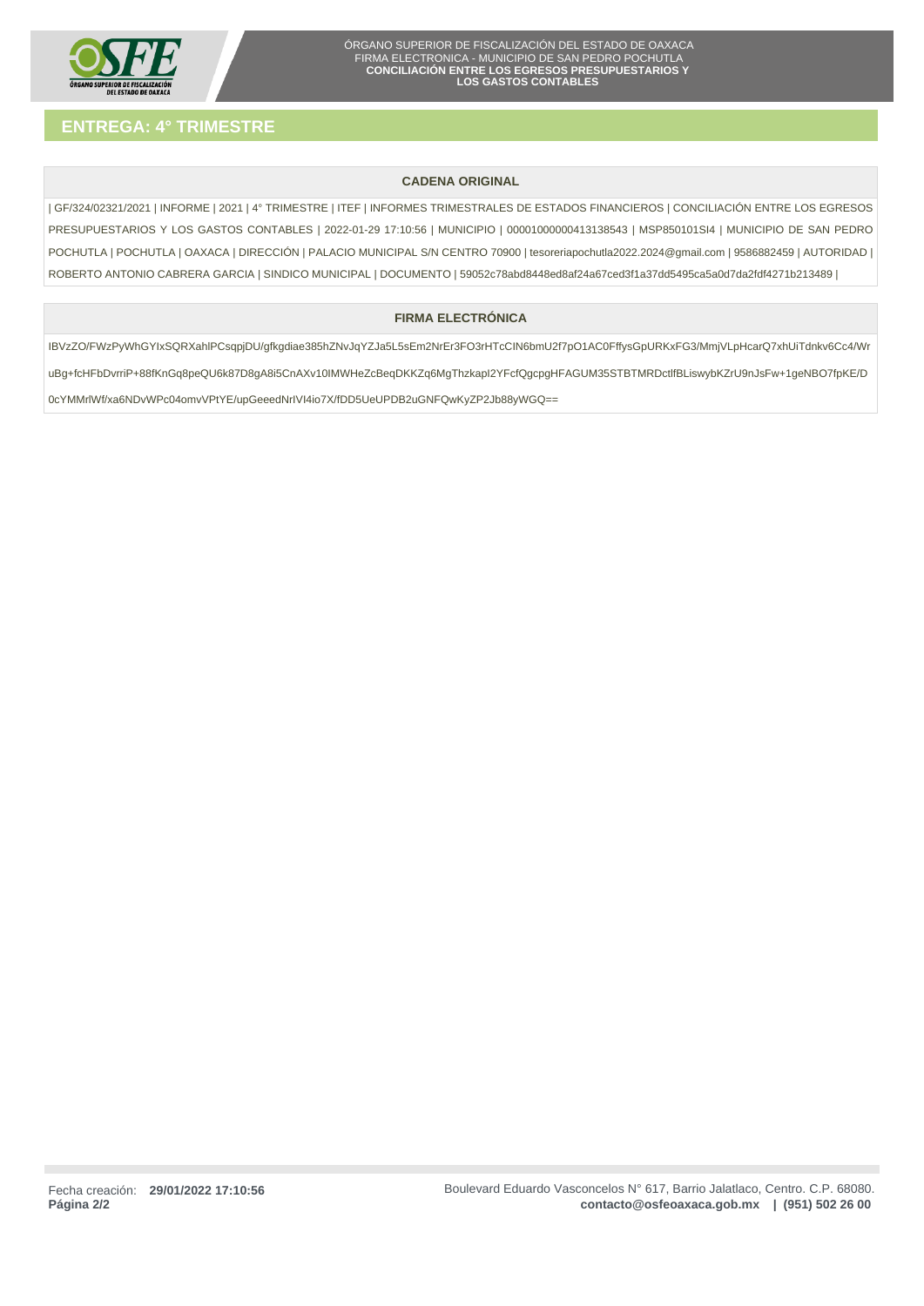

# **CADENA ORIGINAL**

| GF/324/02321/2021 | INFORME | 2021 | 4° TRIMESTRE | ITEF | INFORMES TRIMESTRALES DE ESTADOS FINANCIEROS | CONCILIACIÓN ENTRE LOS EGRESOS PRESUPUESTARIOS Y LOS GASTOS CONTABLES | 2022-01-29 17:10:56 | MUNICIPIO | 00001000000413138543 | MSP850101SI4 | MUNICIPIO DE SAN PEDRO POCHUTLA | POCHUTLA | OAXACA | DIRECCIÓN | PALACIO MUNICIPAL S/N CENTRO 70900 | tesoreriapochutla2022.2024@gmail.com | 9586882459 | AUTORIDAD | ROBERTO ANTONIO CABRERA GARCIA | SINDICO MUNICIPAL | DOCUMENTO | 59052c78abd8448ed8af24a67ced3f1a37dd5495ca5a0d7da2fdf4271b213489 |

# **FIRMA ELECTRÓNICA**

IBVzZO/FWzPyWhGYIxSQRXahlPCsqpjDU/gfkgdiae385hZNvJqYZJa5L5sEm2NrEr3FO3rHTcCIN6bmU2f7pO1AC0FffysGpURKxFG3/MmjVLpHcarQ7xhUiTdnkv6Cc4/Wr uBg+fcHFbDvrriP+88fKnGq8peQU6k87D8gA8i5CnAXv10IMWHeZcBeqDKKZq6MgThzkapI2YFcfQgcpgHFAGUM35STBTMRDctlfBLiswybKZrU9nJsFw+1geNBO7fpKE/D 0cYMMrlWf/xa6NDvWPc04omvVPtYE/upGeeedNrIVI4io7X/fDD5UeUPDB2uGNFQwKyZP2Jb88yWGQ==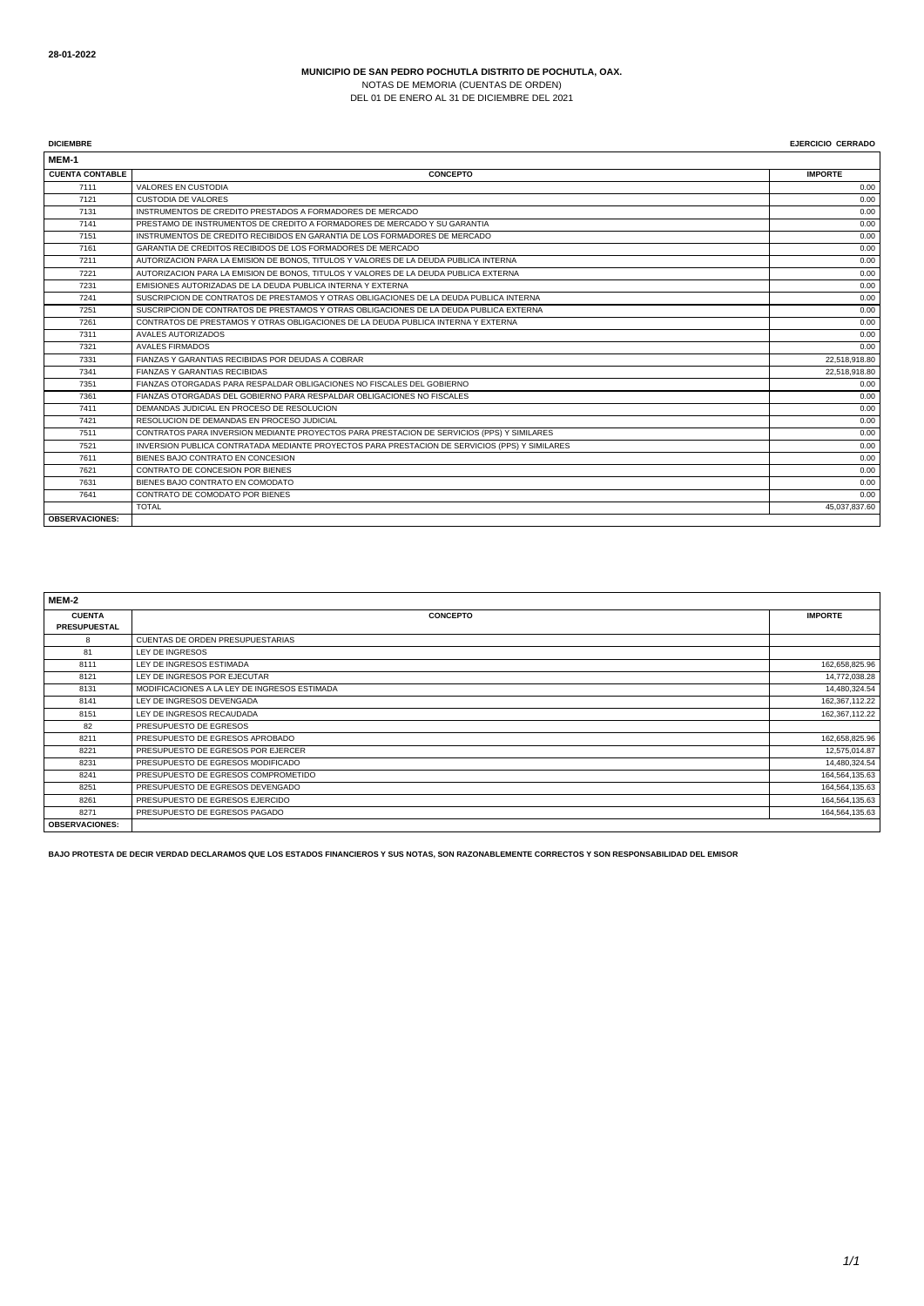NOTAS DE MEMORIA (CUENTAS DE ORDEN) DEL 01 DE ENERO AL 31 DE DICIEMBRE DEL 2021

**DICIEMBRE EJERCICIO CERRADO**

| MEM-1                  |                                                                                                |                |
|------------------------|------------------------------------------------------------------------------------------------|----------------|
| <b>CUENTA CONTABLE</b> | <b>CONCEPTO</b>                                                                                | <b>IMPORTE</b> |
| 7111                   | <b>VALORES EN CUSTODIA</b>                                                                     | 0.00           |
| 7121                   | CUSTODIA DE VALORES                                                                            | 0.00           |
| 7131                   | INSTRUMENTOS DE CREDITO PRESTADOS A FORMADORES DE MERCADO                                      | 0.00           |
| 7141                   | PRESTAMO DE INSTRUMENTOS DE CREDITO A FORMADORES DE MERCADO Y SU GARANTIA                      | 0.00           |
| 7151                   | INSTRUMENTOS DE CREDITO RECIBIDOS EN GARANTIA DE LOS FORMADORES DE MERCADO                     | 0.00           |
| 7161                   | GARANTIA DE CREDITOS RECIBIDOS DE LOS FORMADORES DE MERCADO                                    | 0.00           |
| 7211                   | AUTORIZACION PARA LA EMISION DE BONOS. TITULOS Y VALORES DE LA DEUDA PUBLICA INTERNA           | 0.00           |
| 7221                   | AUTORIZACION PARA LA EMISION DE BONOS. TITULOS Y VALORES DE LA DEUDA PUBLICA EXTERNA           | 0.00           |
| 7231                   | EMISIONES AUTORIZADAS DE LA DEUDA PUBLICA INTERNA Y EXTERNA                                    | 0.00           |
| 7241                   | SUSCRIPCION DE CONTRATOS DE PRESTAMOS Y OTRAS OBLIGACIONES DE LA DEUDA PUBLICA INTERNA         | 0.00           |
| 7251                   | SUSCRIPCION DE CONTRATOS DE PRESTAMOS Y OTRAS OBLIGACIONES DE LA DEUDA PUBLICA EXTERNA         | 0.00           |
| 7261                   | CONTRATOS DE PRESTAMOS Y OTRAS OBLIGACIONES DE LA DEUDA PUBLICA INTERNA Y EXTERNA              | 0.00           |
| 7311                   | AVALES AUTORIZADOS                                                                             | 0.00           |
| 7321                   | <b>AVALES FIRMADOS</b>                                                                         | 0.00           |
| 7331                   | FIANZAS Y GARANTIAS RECIBIDAS POR DEUDAS A COBRAR                                              | 22,518,918.80  |
| 7341                   | <b>FIANZAS Y GARANTIAS RECIBIDAS</b>                                                           | 22,518,918.80  |
| 7351                   | FIANZAS OTORGADAS PARA RESPALDAR OBLIGACIONES NO FISCALES DEL GOBIERNO                         | 0.00           |
| 7361                   | FIANZAS OTORGADAS DEL GOBIERNO PARA RESPALDAR OBLIGACIONES NO FISCALES                         | 0.00           |
| 7411                   | DEMANDAS JUDICIAL EN PROCESO DE RESOLUCION                                                     | 0.00           |
| 7421                   | RESOLUCION DE DEMANDAS EN PROCESO JUDICIAL                                                     | 0.00           |
| 7511                   | CONTRATOS PARA INVERSION MEDIANTE PROYECTOS PARA PRESTACION DE SERVICIOS (PPS) Y SIMILARES     | 0.00           |
| 7521                   | INVERSION PUBLICA CONTRATADA MEDIANTE PROYECTOS PARA PRESTACION DE SERVICIOS (PPS) Y SIMILARES | 0.00           |
| 7611                   | BIENES BAJO CONTRATO EN CONCESION                                                              | 0.00           |
| 7621                   | CONTRATO DE CONCESION POR BIENES                                                               | 0.00           |
| 7631                   | BIENES BAJO CONTRATO EN COMODATO                                                               | 0.00           |
| 7641                   | CONTRATO DE COMODATO POR BIENES                                                                | 0.00           |
|                        | <b>TOTAL</b>                                                                                   | 45,037,837.60  |
| <b>OBSERVACIONES:</b>  |                                                                                                |                |

| MEM-2                 |                                              |                |
|-----------------------|----------------------------------------------|----------------|
| <b>CUENTA</b>         | <b>CONCEPTO</b>                              | <b>IMPORTE</b> |
| <b>PRESUPUESTAL</b>   |                                              |                |
| 8                     | CUENTAS DE ORDEN PRESUPUESTARIAS             |                |
| 81                    | LEY DE INGRESOS                              |                |
| 8111                  | LEY DE INGRESOS ESTIMADA                     | 162,658,825.96 |
| 8121                  | LEY DE INGRESOS POR EJECUTAR                 | 14,772,038.28  |
| 8131                  | MODIFICACIONES A LA LEY DE INGRESOS ESTIMADA | 14,480,324.54  |
| 8141                  | LEY DE INGRESOS DEVENGADA                    | 162,367,112.22 |
| 8151                  | LEY DE INGRESOS RECAUDADA                    | 162,367,112.22 |
| 82                    | PRESUPUESTO DE EGRESOS                       |                |
| 8211                  | PRESUPUESTO DE EGRESOS APROBADO              | 162,658,825.96 |
| 8221                  | PRESUPUESTO DE EGRESOS POR EJERCER           | 12,575,014.87  |
| 8231                  | PRESUPUESTO DE EGRESOS MODIFICADO            | 14,480,324.54  |
| 8241                  | PRESUPUESTO DE EGRESOS COMPROMETIDO          | 164,564,135.63 |
| 8251                  | PRESUPUESTO DE EGRESOS DEVENGADO             | 164,564,135.63 |
| 8261                  | PRESUPUESTO DE EGRESOS EJERCIDO              | 164,564,135.63 |
| 8271                  | PRESUPUESTO DE EGRESOS PAGADO                | 164,564,135.63 |
| <b>OBSERVACIONES:</b> |                                              |                |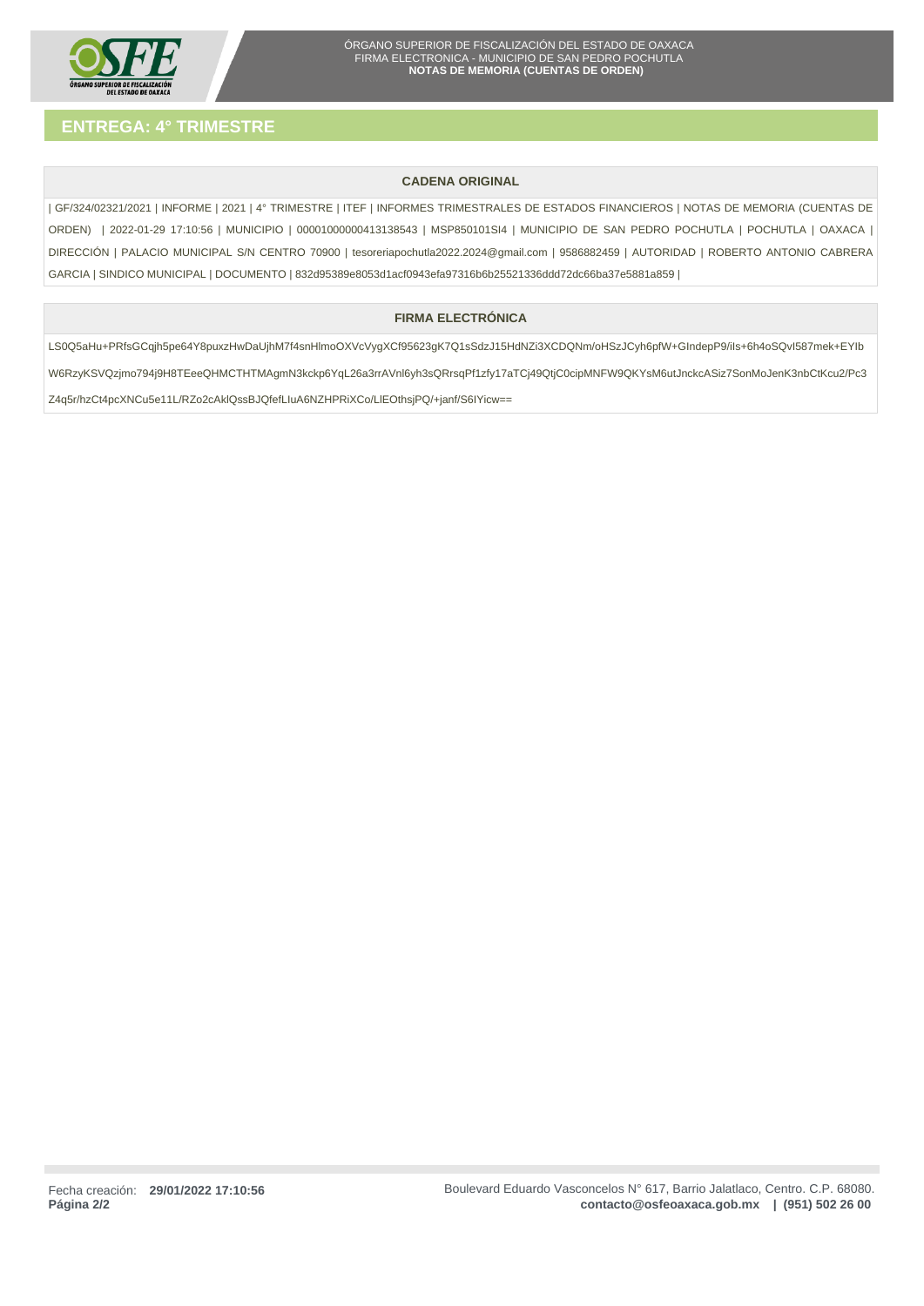

# **CADENA ORIGINAL**

| GF/324/02321/2021 | INFORME | 2021 | 4° TRIMESTRE | ITEF | INFORMES TRIMESTRALES DE ESTADOS FINANCIEROS | NOTAS DE MEMORIA (CUENTAS DE ORDEN) | 2022-01-29 17:10:56 | MUNICIPIO | 00001000000413138543 | MSP850101SI4 | MUNICIPIO DE SAN PEDRO POCHUTLA | POCHUTLA | OAXACA | DIRECCIÓN | PALACIO MUNICIPAL S/N CENTRO 70900 | tesoreriapochutla2022.2024@gmail.com | 9586882459 | AUTORIDAD | ROBERTO ANTONIO CABRERA GARCIA | SINDICO MUNICIPAL | DOCUMENTO | 832d95389e8053d1acf0943efa97316b6b25521336ddd72dc66ba37e5881a859 |

# **FIRMA ELECTRÓNICA**

LS0Q5aHu+PRfsGCqjh5pe64Y8puxzHwDaUjhM7f4snHlmoOXVcVygXCf95623gK7Q1sSdzJ15HdNZi3XCDQNm/oHSzJCyh6pfW+GIndepP9/iIs+6h4oSQvI587mek+EYIb W6RzyKSVQzjmo794j9H8TEeeQHMCTHTMAgmN3kckp6YqL26a3rrAVnl6yh3sQRrsqPf1zfy17aTCj49QtjC0cipMNFW9QKYsM6utJnckcASiz7SonMoJenK3nbCtKcu2/Pc3 Z4q5r/hzCt4pcXNCu5e11L/RZo2cAklQssBJQfefLIuA6NZHPRiXCo/LlEOthsjPQ/+janf/S6IYicw==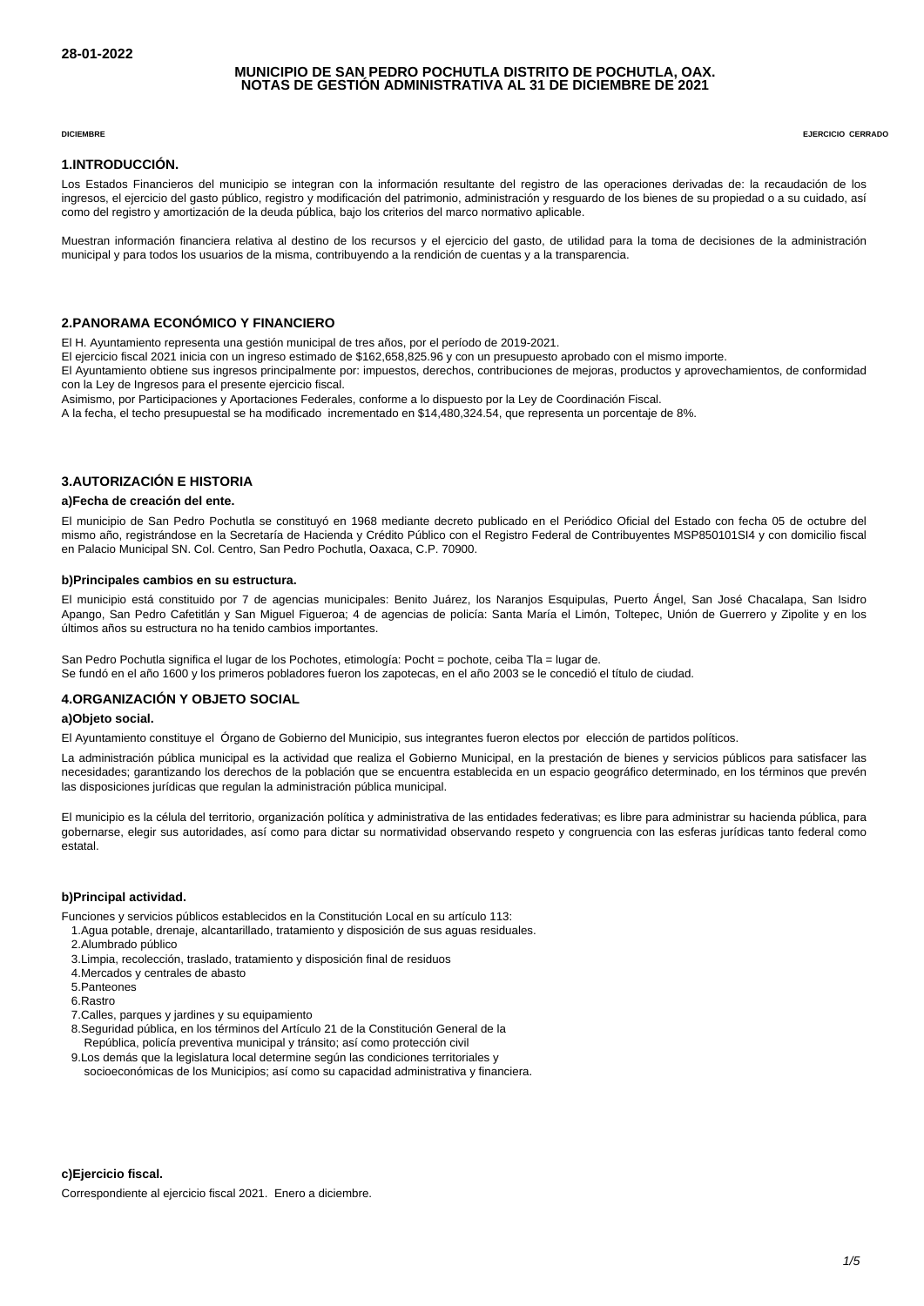## **MUNICIPIO DE SAN PEDRO POCHUTLA DISTRITO DE POCHUTLA, OAX. NOTAS DE GESTIÓN ADMINISTRATIVA AL 31 DE DICIEMBRE DE 2021**

**DICIEMBRE EJERCICIO CERRADO**

### **1. INTRODUCCIÓN.**

Los Estados Financieros del municipio se integran con la información resultante del registro de las operaciones derivadas de: la recaudación de los ingresos, el ejercicio del gasto público, registro y modificación del patrimonio, administración y resguardo de los bienes de su propiedad o a su cuidado, así como del registro y amortización de la deuda pública, bajo los criterios del marco normativo aplicable.

Muestran información financiera relativa al destino de los recursos y el ejercicio del gasto, de utilidad para la toma de decisiones de la administración municipal y para todos los usuarios de la misma, contribuyendo a la rendición de cuentas y a la transparencia.

## **2. PANORAMA ECONÓMICO Y FINANCIERO**

El H. Ayuntamiento representa una gestión municipal de tres años, por el período de 2019-2021.

El ejercicio fiscal 2021 inicia con un ingreso estimado de \$162,658,825.96 y con un presupuesto aprobado con el mismo importe.

El Ayuntamiento obtiene sus ingresos principalmente por: impuestos, derechos, contribuciones de mejoras, productos y aprovechamientos, de conformidad con la Ley de Ingresos para el presente ejercicio fiscal.

Asimismo, por Participaciones y Aportaciones Federales, conforme a lo dispuesto por la Ley de Coordinación Fiscal.

A la fecha, el techo presupuestal se ha modificado incrementado en \$14,480,324.54, que representa un porcentaje de 8%.

## **3. AUTORIZACIÓN E HISTORIA**

## **a) Fecha de creación del ente.**

El municipio de San Pedro Pochutla se constituyó en 1968 mediante decreto publicado en el Periódico Oficial del Estado con fecha 05 de octubre del mismo año, registrándose en la Secretaría de Hacienda y Crédito Público con el Registro Federal de Contribuyentes MSP850101SI4 y con domicilio fiscal en Palacio Municipal SN. Col. Centro, San Pedro Pochutla, Oaxaca, C.P. 70900.

#### **b) Principales cambios en su estructura.**

El municipio está constituido por 7 de agencias municipales: Benito Juárez, los Naranjos Esquipulas, Puerto Ángel, San José Chacalapa, San Isidro Apango, San Pedro Cafetitlán y San Miguel Figueroa; 4 de agencias de policía: Santa María el Limón, Toltepec, Unión de Guerrero y Zipolite y en los últimos años su estructura no ha tenido cambios importantes.

San Pedro Pochutla significa el lugar de los Pochotes, etimología: Pocht = pochote, ceiba Tla = lugar de. Se fundó en el año 1600 y los primeros pobladores fueron los zapotecas, en el año 2003 se le concedió el título de ciudad.

## **4. ORGANIZACIÓN Y OBJETO SOCIAL**

## **a) Objeto social.**

El Ayuntamiento constituye el Órgano de Gobierno del Municipio, sus integrantes fueron electos por elección de partidos políticos.

La administración pública municipal es la actividad que realiza el Gobierno Municipal, en la prestación de bienes y servicios públicos para satisfacer las necesidades; garantizando los derechos de la población que se encuentra establecida en un espacio geográfico determinado, en los términos que prevén las disposiciones jurídicas que regulan la administración pública municipal.

El municipio es la célula del territorio, organización política y administrativa de las entidades federativas; es libre para administrar su hacienda pública, para gobernarse, elegir sus autoridades, así como para dictar su normatividad observando respeto y congruencia con las esferas jurídicas tanto federal como estatal.

#### **b) Principal actividad.**

Funciones y servicios públicos establecidos en la Constitución Local en su artículo 113:

- 1. Agua potable, drenaje, alcantarillado, tratamiento y disposición de sus aguas residuales.
- 2. Alumbrado público
- 3. Limpia, recolección, traslado, tratamiento y disposición final de residuos
- 4. Mercados y centrales de abasto
- 5. Panteones
- 6. Rastro
- 7. Calles, parques y jardines y su equipamiento
- 8. Seguridad pública, en los términos del Artículo 21 de la Constitución General de la República, policía preventiva municipal y tránsito; así como protección civil
- 9. Los demás que la legislatura local determine según las condiciones territoriales y
- socioeconómicas de los Municipios; así como su capacidad administrativa y financiera.

## **c) Ejercicio fiscal.**

Correspondiente al ejercicio fiscal 2021. Enero a diciembre.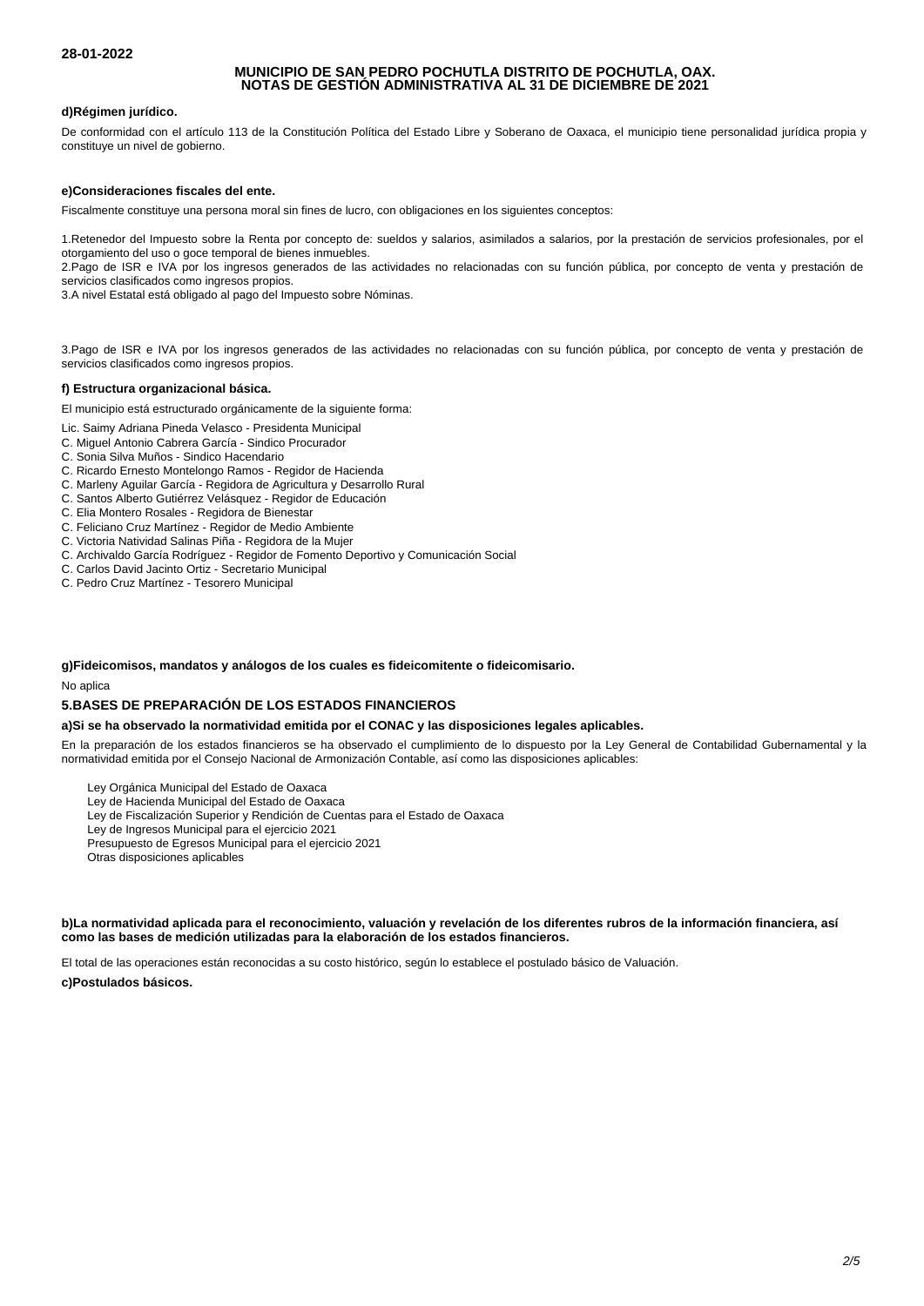## **MUNICIPIO DE SAN PEDRO POCHUTLA DISTRITO DE POCHUTLA, OAX. NOTAS DE GESTIÓN ADMINISTRATIVA AL 31 DE DICIEMBRE DE 2021**

## **d) Régimen jurídico.**

De conformidad con el artículo 113 de la Constitución Política del Estado Libre y Soberano de Oaxaca, el municipio tiene personalidad jurídica propia y constituye un nivel de gobierno.

## **e) Consideraciones fiscales del ente.**

Fiscalmente constituye una persona moral sin fines de lucro, con obligaciones en los siguientes conceptos:

1. Retenedor del Impuesto sobre la Renta por concepto de: sueldos y salarios, asimilados a salarios, por la prestación de servicios profesionales, por el otorgamiento del uso o goce temporal de bienes inmuebles.

2. Pago de ISR e IVA por los ingresos generados de las actividades no relacionadas con su función pública, por concepto de venta y prestación de servicios clasificados como ingresos propios.

3. A nivel Estatal está obligado al pago del Impuesto sobre Nóminas.

3. Pago de ISR e IVA por los ingresos generados de las actividades no relacionadas con su función pública, por concepto de venta y prestación de servicios clasificados como ingresos propios.

## **f) Estructura organizacional básica.**

El municipio está estructurado orgánicamente de la siguiente forma:

- Lic. Saimy Adriana Pineda Velasco Presidenta Municipal
- C. Miguel Antonio Cabrera García Sindico Procurador
- C. Sonia Silva Muños Sindico Hacendario
- C. Ricardo Ernesto Montelongo Ramos Regidor de Hacienda
- C. Marleny Aguilar García Regidora de Agricultura y Desarrollo Rural
- C. Santos Alberto Gutiérrez Velásquez Regidor de Educación
- C. Elia Montero Rosales Regidora de Bienestar
- C. Feliciano Cruz Martínez Regidor de Medio Ambiente
- C. Victoria Natividad Salinas Piña Regidora de la Mujer
- C. Archivaldo García Rodríguez Regidor de Fomento Deportivo y Comunicación Social
- C. Carlos David Jacinto Ortiz Secretario Municipal
- C. Pedro Cruz Martínez Tesorero Municipal

# **g) Fideicomisos, mandatos y análogos de los cuales es fideicomitente o fideicomisario.**

No aplica

# **5. BASES DE PREPARACIÓN DE LOS ESTADOS FINANCIEROS**

## **a) Si se ha observado la normatividad emitida por el CONAC y las disposiciones legales aplicables.**

En la preparación de los estados financieros se ha observado el cumplimiento de lo dispuesto por la Ley General de Contabilidad Gubernamental y la normatividad emitida por el Consejo Nacional de Armonización Contable, así como las disposiciones aplicables:

- Ley Orgánica Municipal del Estado de Oaxaca
- Ley de Hacienda Municipal del Estado de Oaxaca
- Ley de Fiscalización Superior y Rendición de Cuentas para el Estado de Oaxaca
- Ley de Ingresos Municipal para el ejercicio 2021
- Presupuesto de Egresos Municipal para el ejercicio 2021
- Otras disposiciones aplicables

b) La normatividad aplicada para el reconocimiento, valuación y revelación de los diferentes rubros de la información financiera, así **como las bases de medición utilizadas para la elaboración de los estados financieros.**

El total de las operaciones están reconocidas a su costo histórico, según lo establece el postulado básico de Valuación.

**c) Postulados básicos.**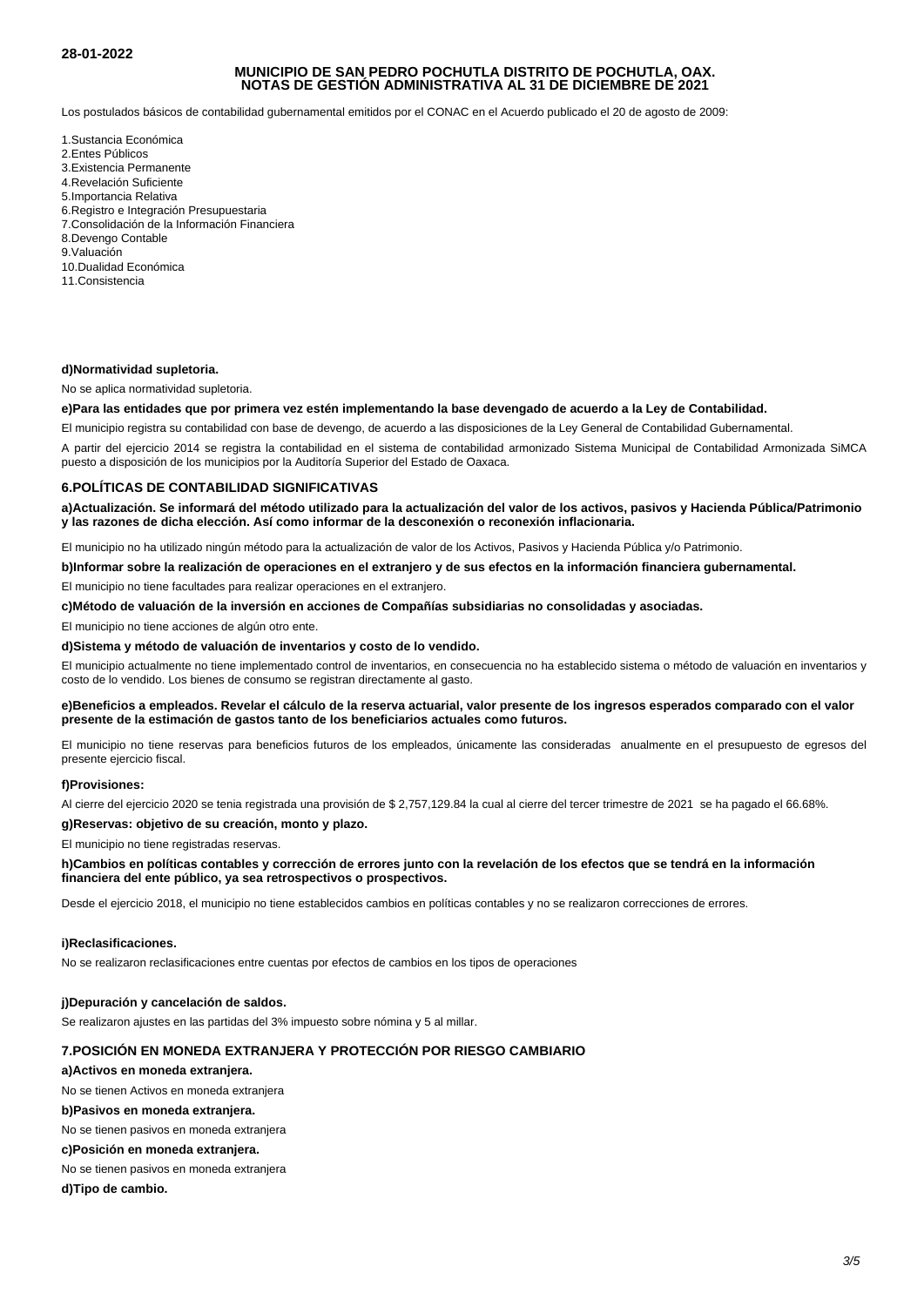## **28-01-2022**

## **MUNICIPIO DE SAN PEDRO POCHUTLA DISTRITO DE POCHUTLA, OAX. NOTAS DE GESTIÓN ADMINISTRATIVA AL 31 DE DICIEMBRE DE 2021**

Los postulados básicos de contabilidad gubernamental emitidos por el CONAC en el Acuerdo publicado el 20 de agosto de 2009:

- 1. Sustancia Económica
- 2. Entes Públicos
- 3. Existencia Permanente
- 4. Revelación Suficiente
- 5. Importancia Relativa
- 6. Registro e Integración Presupuestaria
- 7. Consolidación de la Información Financiera
- 8. Devengo Contable
- 9. Valuación
- 10. Dualidad Económica
- 11. Consistencia

## **d) Normatividad supletoria.**

No se aplica normatividad supletoria.

# **e) Para las entidades que por primera vez estén implementando la base devengado de acuerdo a la Ley de Contabilidad.**

El municipio registra su contabilidad con base de devengo, de acuerdo a las disposiciones de la Ley General de Contabilidad Gubernamental.

A partir del ejercicio 2014 se registra la contabilidad en el sistema de contabilidad armonizado Sistema Municipal de Contabilidad Armonizada SiMCA puesto a disposición de los municipios por la Auditoría Superior del Estado de Oaxaca.

## **6. POLÍTICAS DE CONTABILIDAD SIGNIFICATIVAS**

**a) Actualización. Se informará del método utilizado para la actualización del valor de los activos, pasivos y Hacienda Pública/Patrimonio y las razones de dicha elección. Así como informar de la desconexión o reconexión inflacionaria.**

El municipio no ha utilizado ningún método para la actualización de valor de los Activos, Pasivos y Hacienda Pública y/o Patrimonio.

**b) Informar sobre la realización de operaciones en el extranjero y de sus efectos en la información financiera gubernamental.**

El municipio no tiene facultades para realizar operaciones en el extranjero.

**c) Método de valuación de la inversión en acciones de Compañías subsidiarias no consolidadas y asociadas.**

El municipio no tiene acciones de algún otro ente.

#### **d) Sistema y método de valuación de inventarios y costo de lo vendido.**

El municipio actualmente no tiene implementado control de inventarios, en consecuencia no ha establecido sistema o método de valuación en inventarios y costo de lo vendido. Los bienes de consumo se registran directamente al gasto.

### **e) Beneficios a empleados. Revelar el cálculo de la reserva actuarial, valor presente de los ingresos esperados comparado con el valor presente de la estimación de gastos tanto de los beneficiarios actuales como futuros.**

El municipio no tiene reservas para beneficios futuros de los empleados, únicamente las consideradas anualmente en el presupuesto de egresos del presente ejercicio fiscal.

## **f) Provisiones:**

Al cierre del ejercicio 2020 se tenia registrada una provisión de \$ 2,757,129.84 la cual al cierre del tercer trimestre de 2021 se ha pagado el 66.68%.

## **g) Reservas: objetivo de su creación, monto y plazo.**

El municipio no tiene registradas reservas.

## **h) Cambios en políticas contables y corrección de errores junto con la revelación de los efectos que se tendrá en la información financiera del ente público, ya sea retrospectivos o prospectivos.**

Desde el ejercicio 2018, el municipio no tiene establecidos cambios en políticas contables y no se realizaron correcciones de errores.

#### **i) Reclasificaciones.**

No se realizaron reclasificaciones entre cuentas por efectos de cambios en los tipos de operaciones

#### **j) Depuración y cancelación de saldos.**

Se realizaron ajustes en las partidas del 3% impuesto sobre nómina y 5 al millar.

## **7. POSICIÓN EN MONEDA EXTRANJERA Y PROTECCIÓN POR RIESGO CAMBIARIO**

#### **a) Activos en moneda extranjera.**

No se tienen Activos en moneda extranjera

## **b) Pasivos en moneda extranjera.**

No se tienen pasivos en moneda extranjera

## **c) Posición en moneda extranjera.**

No se tienen pasivos en moneda extranjera

#### **d) Tipo de cambio.**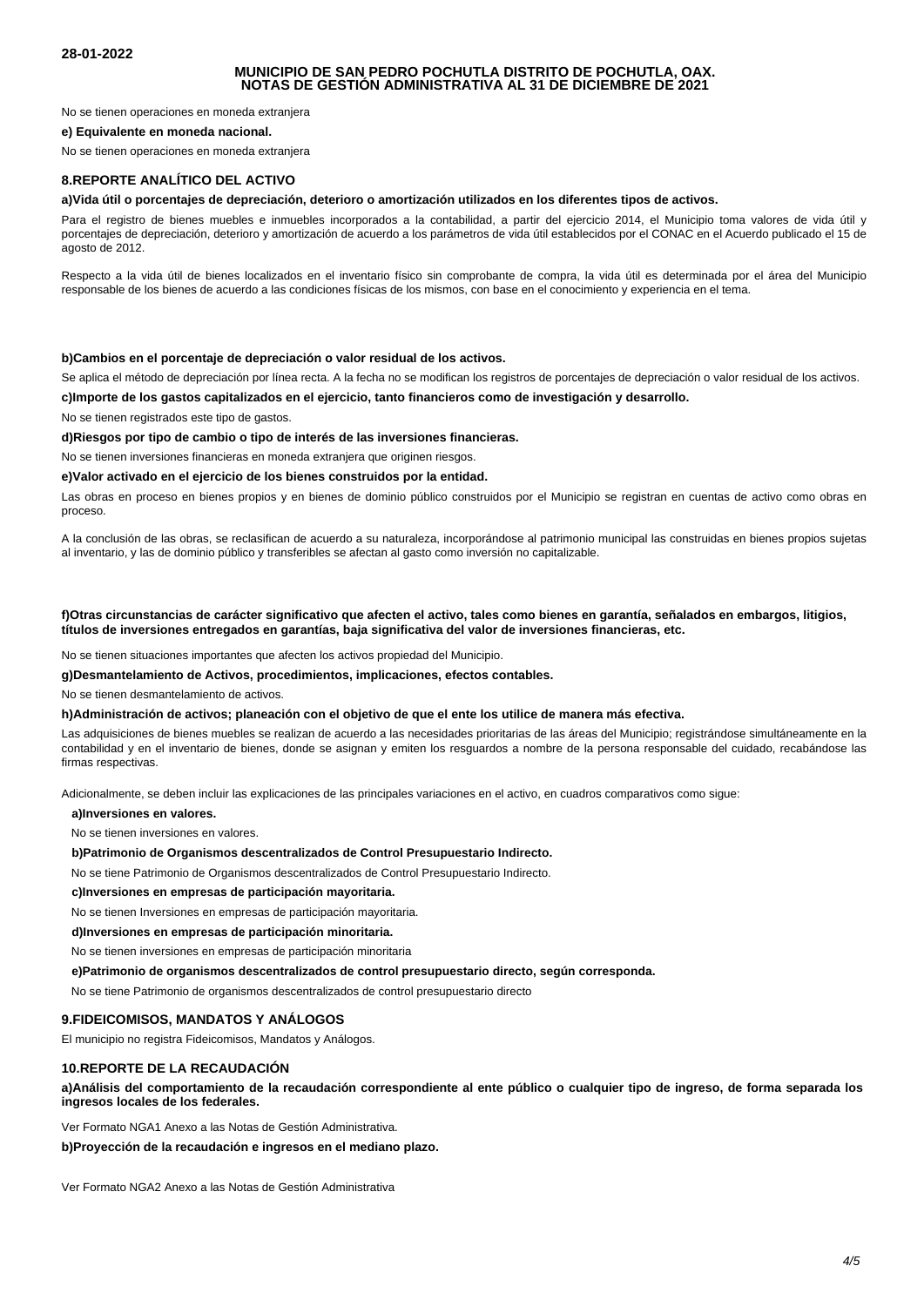## **MUNICIPIO DE SAN PEDRO POCHUTLA DISTRITO DE POCHUTLA, OAX. NOTAS DE GESTIÓN ADMINISTRATIVA AL 31 DE DICIEMBRE DE 2021**

No se tienen operaciones en moneda extranjera

#### **e) Equivalente en moneda nacional.**

No se tienen operaciones en moneda extranjera

## **8. REPORTE ANALÍTICO DEL ACTIVO**

#### **a) Vida útil o porcentajes de depreciación, deterioro o amortización utilizados en los diferentes tipos de activos.**

Para el registro de bienes muebles e inmuebles incorporados a la contabilidad, a partir del ejercicio 2014, el Municipio toma valores de vida útil y porcentajes de depreciación, deterioro y amortización de acuerdo a los parámetros de vida útil establecidos por el CONAC en el Acuerdo publicado el 15 de agosto de 2012.

Respecto a la vida útil de bienes localizados en el inventario físico sin comprobante de compra, la vida útil es determinada por el área del Municipio responsable de los bienes de acuerdo a las condiciones físicas de los mismos, con base en el conocimiento y experiencia en el tema.

#### **b) Cambios en el porcentaje de depreciación o valor residual de los activos.**

Se aplica el método de depreciación por línea recta. A la fecha no se modifican los registros de porcentajes de depreciación o valor residual de los activos.

**c) Importe de los gastos capitalizados en el ejercicio, tanto financieros como de investigación y desarrollo.**

No se tienen registrados este tipo de gastos.

**d) Riesgos por tipo de cambio o tipo de interés de las inversiones financieras.**

No se tienen inversiones financieras en moneda extranjera que originen riesgos.

**e) Valor activado en el ejercicio de los bienes construidos por la entidad.**

Las obras en proceso en bienes propios y en bienes de dominio público construidos por el Municipio se registran en cuentas de activo como obras en proceso.

A la conclusión de las obras, se reclasifican de acuerdo a su naturaleza, incorporándose al patrimonio municipal las construidas en bienes propios sujetas al inventario, y las de dominio público y transferibles se afectan al gasto como inversión no capitalizable.

#### **f) Otras circunstancias de carácter significativo que afecten el activo, tales como bienes en garantía, señalados en embargos, litigios, títulos de inversiones entregados en garantías, baja significativa del valor de inversiones financieras, etc.**

No se tienen situaciones importantes que afecten los activos propiedad del Municipio.

#### **g) Desmantelamiento de Activos, procedimientos, implicaciones, efectos contables.**

No se tienen desmantelamiento de activos.

#### **h) Administración de activos; planeación con el objetivo de que el ente los utilice de manera más efectiva.**

Las adquisiciones de bienes muebles se realizan de acuerdo a las necesidades prioritarias de las áreas del Municipio; registrándose simultáneamente en la contabilidad y en el inventario de bienes, donde se asignan y emiten los resguardos a nombre de la persona responsable del cuidado, recabándose las firmas respectivas.

Adicionalmente, se deben incluir las explicaciones de las principales variaciones en el activo, en cuadros comparativos como sigue:

 **a) Inversiones en valores.**

No se tienen inversiones en valores.

#### **b) Patrimonio de Organismos descentralizados de Control Presupuestario Indirecto.**

No se tiene Patrimonio de Organismos descentralizados de Control Presupuestario Indirecto.

### **c) Inversiones en empresas de participación mayoritaria.**

No se tienen Inversiones en empresas de participación mayoritaria.

 **d) Inversiones en empresas de participación minoritaria.**

No se tienen inversiones en empresas de participación minoritaria

 **e) Patrimonio de organismos descentralizados de control presupuestario directo, según corresponda.**

No se tiene Patrimonio de organismos descentralizados de control presupuestario directo

## **9. FIDEICOMISOS, MANDATOS Y ANÁLOGOS**

El municipio no registra Fideicomisos, Mandatos y Análogos.

#### **10. REPORTE DE LA RECAUDACIÓN**

a) Análisis del comportamiento de la recaudación correspondiente al ente público o cualquier tipo de ingreso, de forma separada los **ingresos locales de los federales.**

Ver Formato NGA1 Anexo a las Notas de Gestión Administrativa.

#### **b) Proyección de la recaudación e ingresos en el mediano plazo.**

Ver Formato NGA2 Anexo a las Notas de Gestión Administrativa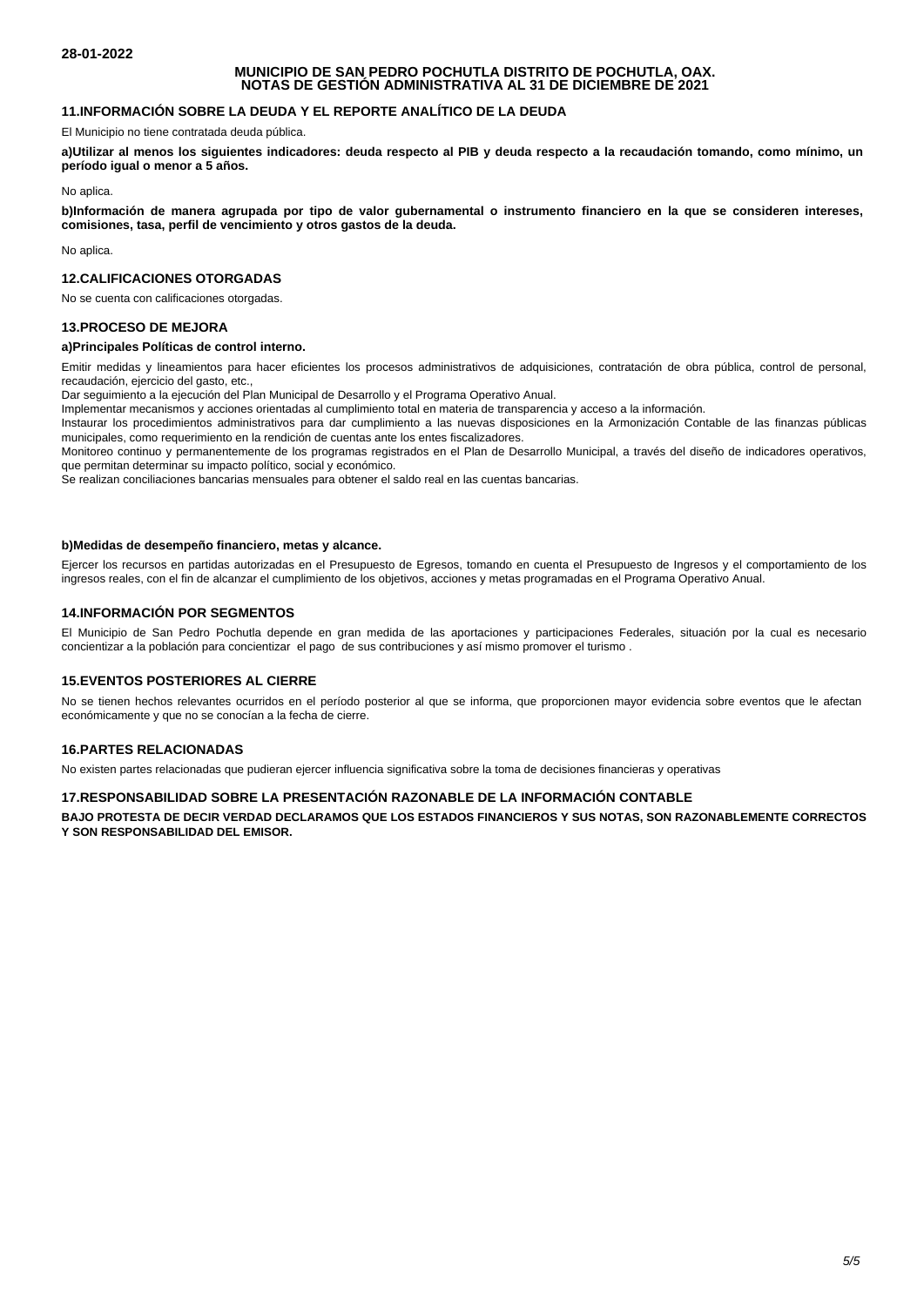## **MUNICIPIO DE SAN PEDRO POCHUTLA DISTRITO DE POCHUTLA, OAX. NOTAS DE GESTIÓN ADMINISTRATIVA AL 31 DE DICIEMBRE DE 2021**

# **11. INFORMACIÓN SOBRE LA DEUDA Y EL REPORTE ANALÍTICO DE LA DEUDA**

El Municipio no tiene contratada deuda pública.

a) Utilizar al menos los siguientes indicadores: deuda respecto al PIB y deuda respecto a la recaudación tomando, como mínimo, un **período igual o menor a 5 años.**

No aplica.

**b) Información de manera agrupada por tipo de valor gubernamental o instrumento financiero en la que se consideren intereses, comisiones, tasa, perfil de vencimiento y otros gastos de la deuda.**

No aplica.

# **12. CALIFICACIONES OTORGADAS**

No se cuenta con calificaciones otorgadas.

## **13. PROCESO DE MEJORA**

#### **a) Principales Políticas de control interno.**

Emitir medidas y lineamientos para hacer eficientes los procesos administrativos de adquisiciones, contratación de obra pública, control de personal, recaudación, ejercicio del gasto, etc.,

Dar seguimiento a la ejecución del Plan Municipal de Desarrollo y el Programa Operativo Anual.

Implementar mecanismos y acciones orientadas al cumplimiento total en materia de transparencia y acceso a la información.

Instaurar los procedimientos administrativos para dar cumplimiento a las nuevas disposiciones en la Armonización Contable de las finanzas públicas municipales, como requerimiento en la rendición de cuentas ante los entes fiscalizadores.

Monitoreo continuo y permanentemente de los programas registrados en el Plan de Desarrollo Municipal, a través del diseño de indicadores operativos, que permitan determinar su impacto político, social y económico.

Se realizan conciliaciones bancarias mensuales para obtener el saldo real en las cuentas bancarias.

### **b) Medidas de desempeño financiero, metas y alcance.**

Ejercer los recursos en partidas autorizadas en el Presupuesto de Egresos, tomando en cuenta el Presupuesto de Ingresos y el comportamiento de los ingresos reales, con el fin de alcanzar el cumplimiento de los objetivos, acciones y metas programadas en el Programa Operativo Anual.

## **14. INFORMACIÓN POR SEGMENTOS**

El Municipio de San Pedro Pochutla depende en gran medida de las aportaciones y participaciones Federales, situación por la cual es necesario concientizar a la población para concientizar el pago de sus contribuciones y así mismo promover el turismo .

## **15. EVENTOS POSTERIORES AL CIERRE**

No se tienen hechos relevantes ocurridos en el período posterior al que se informa, que proporcionen mayor evidencia sobre eventos que le afectan económicamente y que no se conocían a la fecha de cierre.

## **16. PARTES RELACIONADAS**

No existen partes relacionadas que pudieran ejercer influencia significativa sobre la toma de decisiones financieras y operativas

## **17. RESPONSABILIDAD SOBRE LA PRESENTACIÓN RAZONABLE DE LA INFORMACIÓN CONTABLE**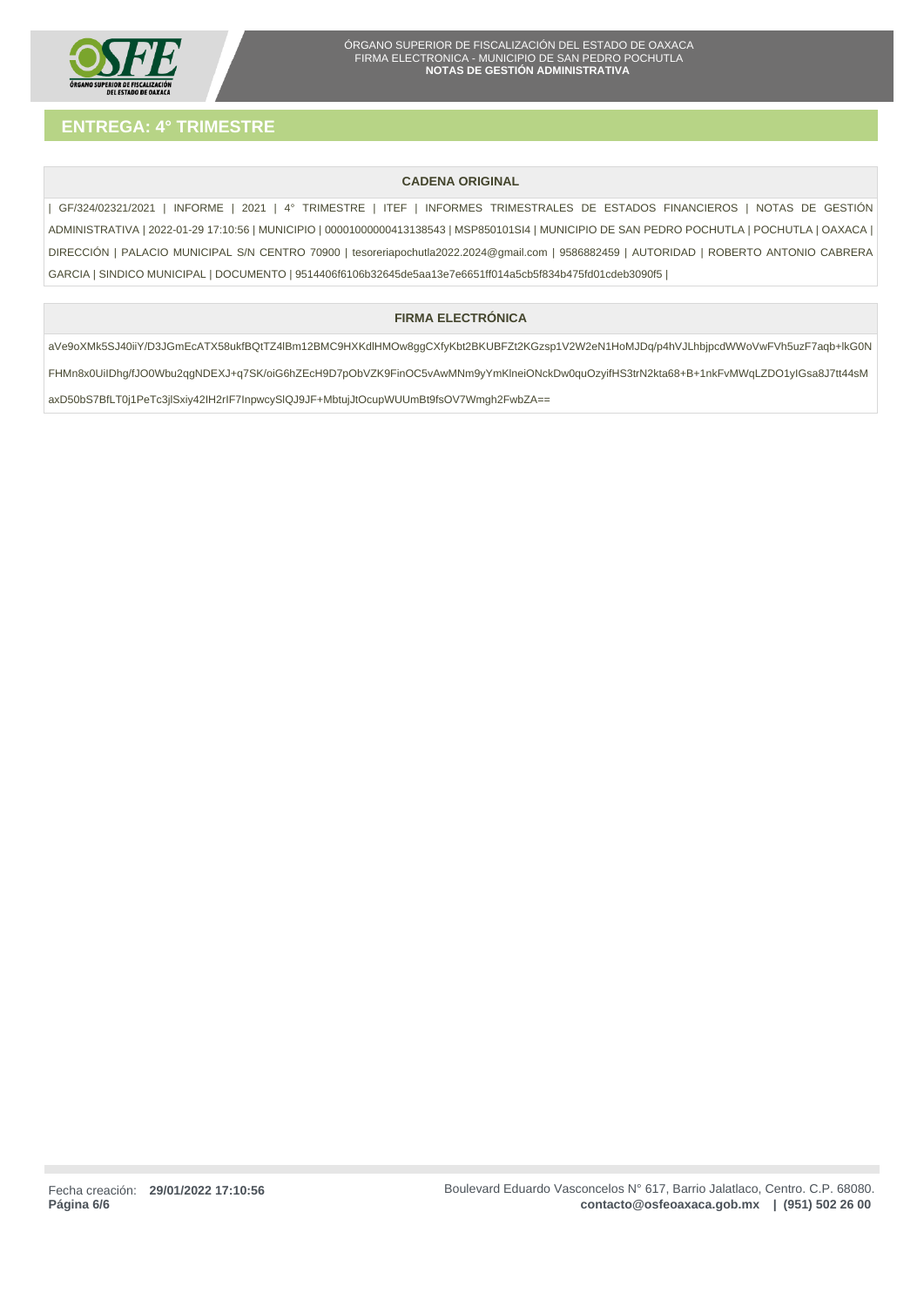

# **CADENA ORIGINAL**

| GF/324/02321/2021 | INFORME | 2021 | 4° TRIMESTRE | ITEF | INFORMES TRIMESTRALES DE ESTADOS FINANCIEROS | NOTAS DE GESTIÓN ADMINISTRATIVA | 2022-01-29 17:10:56 | MUNICIPIO | 00001000000413138543 | MSP850101SI4 | MUNICIPIO DE SAN PEDRO POCHUTLA | POCHUTLA | OAXACA | DIRECCIÓN | PALACIO MUNICIPAL S/N CENTRO 70900 | tesoreriapochutla2022.2024@gmail.com | 9586882459 | AUTORIDAD | ROBERTO ANTONIO CABRERA GARCIA | SINDICO MUNICIPAL | DOCUMENTO | 9514406f6106b32645de5aa13e7e6651ff014a5cb5f834b475fd01cdeb3090f5 |

# **FIRMA ELECTRÓNICA**

aVe9oXMk5SJ40iiY/D3JGmEcATX58ukfBQtTZ4lBm12BMC9HXKdlHMOw8ggCXfyKbt2BKUBFZt2KGzsp1V2W2eN1HoMJDq/p4hVJLhbjpcdWWoVwFVh5uzF7aqb+lkG0N FHMn8x0UiIDhg/fJO0Wbu2qgNDEXJ+q7SK/oiG6hZEcH9D7pObVZK9FinOC5vAwMNm9yYmKlneiONckDw0quOzyifHS3trN2kta68+B+1nkFvMWqLZDO1yIGsa8J7tt44sM axD50bS7BfLT0j1PeTc3jlSxiy42IH2rIF7InpwcySlQJ9JF+MbtujJtOcupWUUmBt9fsOV7Wmgh2FwbZA==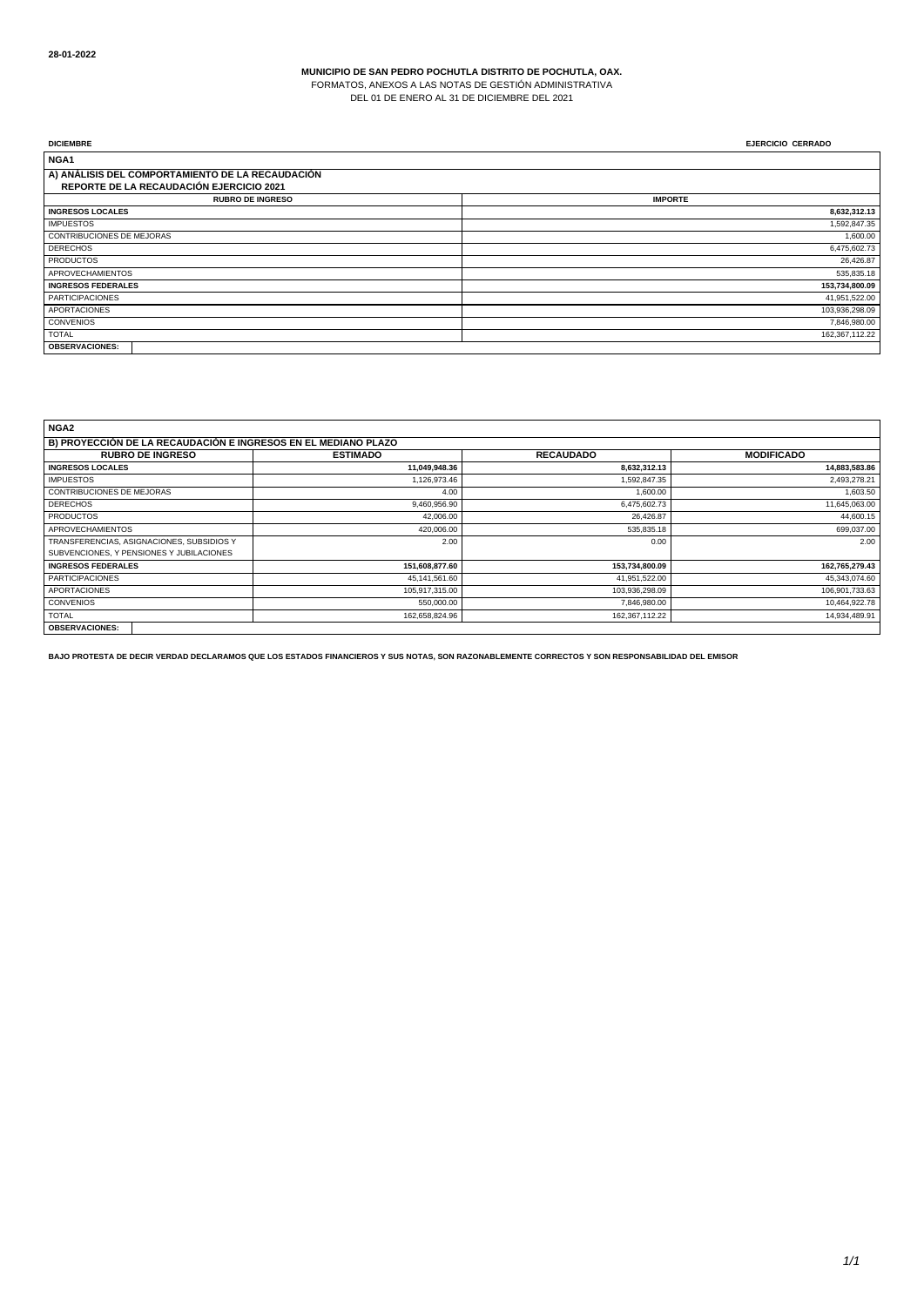FORMATOS, ANEXOS A LAS NOTAS DE GESTIÓN ADMINISTRATIVA

DEL 01 DE ENERO AL 31 DE DICIEMBRE DEL 2021

| <b>DICIEMBRE</b>                                 | <b>EJERCICIO CERRADO</b> |
|--------------------------------------------------|--------------------------|
| NGA <sub>1</sub>                                 |                          |
| A) ANÁLISIS DEL COMPORTAMIENTO DE LA RECAUDACIÓN |                          |
| REPORTE DE LA RECAUDACIÓN EJERCICIO 2021         |                          |
| <b>RUBRO DE INGRESO</b>                          | <b>IMPORTE</b>           |
| <b>INGRESOS LOCALES</b>                          | 8,632,312.13             |
| <b>IMPUESTOS</b>                                 | 1,592,847.35             |
| CONTRIBUCIONES DE MEJORAS                        | 1,600.00                 |
| <b>DERECHOS</b>                                  | 6,475,602.73             |
| <b>PRODUCTOS</b>                                 | 26,426.87                |
| <b>APROVECHAMIENTOS</b>                          | 535,835.18               |
| <b>INGRESOS FEDERALES</b>                        | 153,734,800.09           |
| <b>PARTICIPACIONES</b>                           | 41,951,522.00            |
| <b>APORTACIONES</b>                              | 103,936,298.09           |
| <b>CONVENIOS</b>                                 | 7,846,980.00             |
| <b>TOTAL</b>                                     | 162,367,112.22           |
| <b>OBSERVACIONES:</b>                            |                          |

| NGA <sub>2</sub>                                               |                  |                  |                   |  |
|----------------------------------------------------------------|------------------|------------------|-------------------|--|
| B) PROYECCIÓN DE LA RECAUDACIÓN E INGRESOS EN EL MEDIANO PLAZO |                  |                  |                   |  |
| <b>RUBRO DE INGRESO</b>                                        | <b>ESTIMADO</b>  | <b>RECAUDADO</b> | <b>MODIFICADO</b> |  |
| <b>INGRESOS LOCALES</b>                                        | 11,049,948.36    | 8,632,312.13     | 14,883,583.86     |  |
| <b>IMPUESTOS</b>                                               | 1.126.973.46     | 1.592.847.35     | 2,493,278.21      |  |
| <b>CONTRIBUCIONES DE MEJORAS</b>                               | 4.00             | 1,600.00         | 1,603.50          |  |
| <b>DERECHOS</b>                                                | 9,460,956.90     | 6,475,602.73     | 11,645,063.00     |  |
| <b>PRODUCTOS</b>                                               | 42.006.00        | 26,426.87        | 44,600.15         |  |
| <b>APROVECHAMIENTOS</b>                                        | 420,006.00       | 535,835.18       | 699,037.00        |  |
| TRANSFERENCIAS, ASIGNACIONES, SUBSIDIOS Y                      | 2.00             | 0.00             | 2.00              |  |
| SUBVENCIONES, Y PENSIONES Y JUBILACIONES                       |                  |                  |                   |  |
| <b>INGRESOS FEDERALES</b>                                      | 151,608,877.60   | 153,734,800.09   | 162,765,279.43    |  |
| <b>PARTICIPACIONES</b>                                         | 45, 141, 561. 60 | 41,951,522.00    | 45,343,074.60     |  |
| <b>APORTACIONES</b>                                            | 105,917,315.00   | 103,936,298.09   | 106,901,733.63    |  |
| <b>CONVENIOS</b>                                               | 550,000.00       | 7,846,980.00     | 10,464,922.78     |  |
| <b>TOTAL</b>                                                   | 162,658,824.96   | 162,367,112.22   | 14,934,489.91     |  |
| <b>OBSERVACIONES:</b>                                          |                  |                  |                   |  |